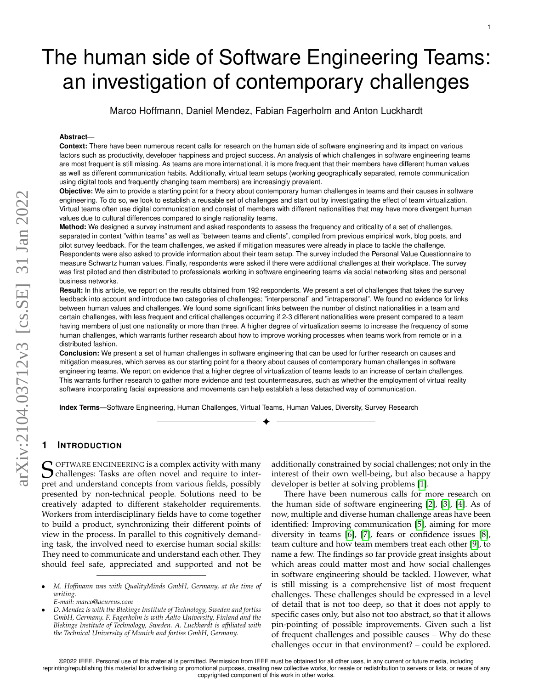# The human side of Software Engineering Teams: an investigation of contemporary challenges

Marco Hoffmann, Daniel Mendez, Fabian Fagerholm and Anton Luckhardt

#### **Abstract**—

**Context:** There have been numerous recent calls for research on the human side of software engineering and its impact on various factors such as productivity, developer happiness and project success. An analysis of which challenges in software engineering teams are most frequent is still missing. As teams are more international, it is more frequent that their members have different human values as well as different communication habits. Additionally, virtual team setups (working geographically separated, remote communication using digital tools and frequently changing team members) are increasingly prevalent.

**Objective:** We aim to provide a starting point for a theory about contemporary human challenges in teams and their causes in software engineering. To do so, we look to establish a reusable set of challenges and start out by investigating the effect of team virtualization. Virtual teams often use digital communication and consist of members with different nationalities that may have more divergent human values due to cultural differences compared to single nationality teams.

**Method:** We designed a survey instrument and asked respondents to assess the frequency and criticality of a set of challenges, separated in context "within teams" as well as "between teams and clients", compiled from previous empirical work, blog posts, and pilot survey feedback. For the team challenges, we asked if mitigation measures were already in place to tackle the challenge. Respondents were also asked to provide information about their team setup. The survey included the Personal Value Questionnaire to measure Schwartz human values. Finally, respondents were asked if there were additional challenges at their workplace. The survey was first piloted and then distributed to professionals working in software engineering teams via social networking sites and personal business networks.

**Result:** In this article, we report on the results obtained from 192 respondents. We present a set of challenges that takes the survey feedback into account and introduce two categories of challenges; "interpersonal" and "intrapersonal". We found no evidence for links between human values and challenges. We found some significant links between the number of distinct nationalities in a team and certain challenges, with less frequent and critical challenges occurring if 2-3 different nationalities were present compared to a team having members of just one nationality or more than three. A higher degree of virtualization seems to increase the frequency of some human challenges, which warrants further research about how to improve working processes when teams work from remote or in a distributed fashion.

**Conclusion:** We present a set of human challenges in software engineering that can be used for further research on causes and mitigation measures, which serves as our starting point for a theory about causes of contemporary human challenges in software engineering teams. We report on evidence that a higher degree of virtualization of teams leads to an increase of certain challenges. This warrants further research to gather more evidence and test countermeasures, such as whether the employment of virtual reality software incorporating facial expressions and movements can help establish a less detached way of communication.

✦

**Index Terms**—Software Engineering, Human Challenges, Virtual Teams, Human Values, Diversity, Survey Research

## **1 INTRODUCTION**

S OFTWARE ENGINEERING is a complex activity with many<br>
schallenges: Tasks are often novel and require to inter- $\bigcup$  challenges: Tasks are often novel and require to interpret and understand concepts from various fields, possibly presented by non-technical people. Solutions need to be creatively adapted to different stakeholder requirements. Workers from interdisciplinary fields have to come together to build a product, synchronizing their different points of view in the process. In parallel to this cognitively demanding task, the involved need to exercise human social skills: They need to communicate and understand each other. They should feel safe, appreciated and supported and not be

additionally constrained by social challenges; not only in the interest of their own well-being, but also because a happy developer is better at solving problems [\[1\]](#page-13-0).

1

There have been numerous calls for more research on the human side of software engineering [\[2\]](#page-13-1), [\[3\]](#page-13-2), [\[4\]](#page-13-3). As of now, multiple and diverse human challenge areas have been identified: Improving communication [\[5\]](#page-13-4), aiming for more diversity in teams [\[6\]](#page-13-5), [\[7\]](#page-13-6), fears or confidence issues [\[8\]](#page-13-7), team culture and how team members treat each other [\[9\]](#page-13-8), to name a few. The findings so far provide great insights about which areas could matter most and how social challenges in software engineering should be tackled. However, what is still missing is a comprehensive list of most frequent challenges. These challenges should be expressed in a level of detail that is not too deep, so that it does not apply to specific cases only, but also not too abstract, so that it allows pin-pointing of possible improvements. Given such a list of frequent challenges and possible causes – Why do these challenges occur in that environment? – could be explored.

©2022 IEEE. Personal use of this material is permitted. Permission from IEEE must be obtained for all other uses, in any current or future media, including reprinting/republishing this material for advertising or promotional purposes, creating new collective works, for resale or redistribution to servers or lists, or reuse of any copyrighted component of this work in other works.

<sup>•</sup> *M. Hoffmann was with QualityMinds GmbH, Germany, at the time of writing. E-mail: marco@acureus.com*

<sup>•</sup> *D. Mendez is with the Blekinge Institute of Technology, Sweden and fortiss GmbH, Germany. F. Fagerholm is with Aalto University, Finland and the Blekinge Institute of Technology, Sweden. A. Luckhardt is affiliated with the Technical University of Munich and fortiss GmbH, Germany.*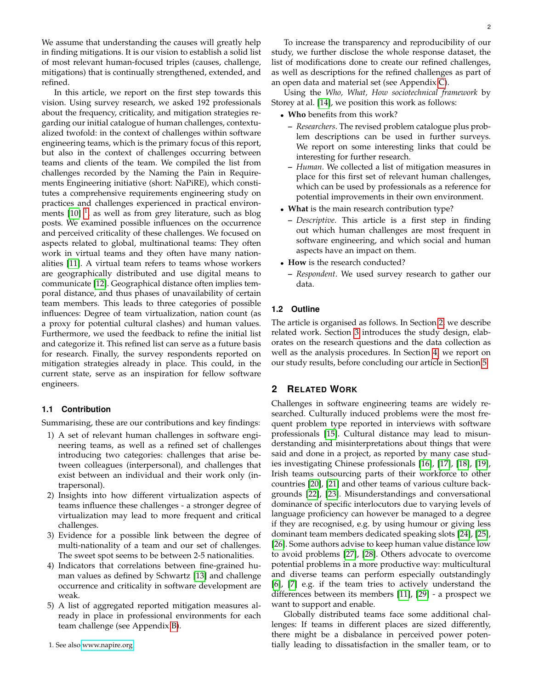We assume that understanding the causes will greatly help in finding mitigations. It is our vision to establish a solid list of most relevant human-focused triples (causes, challenge, mitigations) that is continually strengthened, extended, and refined.

In this article, we report on the first step towards this vision. Using survey research, we asked 192 professionals about the frequency, criticality, and mitigation strategies regarding our initial catalogue of human challenges, contextualized twofold: in the context of challenges within software engineering teams, which is the primary focus of this report, but also in the context of challenges occurring between teams and clients of the team. We compiled the list from challenges recorded by the Naming the Pain in Requirements Engineering initiative (short: NaPiRE), which constitutes a comprehensive requirements engineering study on practices and challenges experienced in practical environments  $[10]$  <sup>[1](#page-1-0)</sup>, as well as from grey literature, such as blog posts. We examined possible influences on the occurrence and perceived criticality of these challenges. We focused on aspects related to global, multinational teams: They often work in virtual teams and they often have many nationalities [\[11\]](#page-13-10). A virtual team refers to teams whose workers are geographically distributed and use digital means to communicate [\[12\]](#page-13-11). Geographical distance often implies temporal distance, and thus phases of unavailability of certain team members. This leads to three categories of possible influences: Degree of team virtualization, nation count (as a proxy for potential cultural clashes) and human values. Furthermore, we used the feedback to refine the initial list and categorize it. This refined list can serve as a future basis for research. Finally, the survey respondents reported on mitigation strategies already in place. This could, in the current state, serve as an inspiration for fellow software engineers.

## **1.1 Contribution**

Summarising, these are our contributions and key findings:

- 1) A set of relevant human challenges in software engineering teams, as well as a refined set of challenges introducing two categories: challenges that arise between colleagues (interpersonal), and challenges that exist between an individual and their work only (intrapersonal).
- 2) Insights into how different virtualization aspects of teams influence these challenges - a stronger degree of virtualization may lead to more frequent and critical challenges.
- 3) Evidence for a possible link between the degree of multi-nationality of a team and our set of challenges. The sweet spot seems to be between 2-5 nationalities.
- 4) Indicators that correlations between fine-grained human values as defined by Schwartz [\[13\]](#page-13-12) and challenge occurrence and criticality in software development are weak.
- 5) A list of aggregated reported mitigation measures already in place in professional environments for each team challenge (see Appendix [B\)](#page-15-0).

To increase the transparency and reproducibility of our study, we further disclose the whole response dataset, the list of modifications done to create our refined challenges, as well as descriptions for the refined challenges as part of an open data and material set (see Appendix [C\)](#page-17-0).

Using the *Who, What, How sociotechnical framework* by Storey at al. [\[14\]](#page-13-13), we position this work as follows:

- **Who** benefits from this work?
	- **–** *Researchers*. The revised problem catalogue plus problem descriptions can be used in further surveys. We report on some interesting links that could be interesting for further research.
	- **–** *Human*. We collected a list of mitigation measures in place for this first set of relevant human challenges, which can be used by professionals as a reference for potential improvements in their own environment.
- **What** is the main research contribution type?
	- **–** *Descriptive*. This article is a first step in finding out which human challenges are most frequent in software engineering, and which social and human aspects have an impact on them.
- **How** is the research conducted?
	- **–** *Respondent*. We used survey research to gather our data.

## **1.2 Outline**

The article is organised as follows. In Section [2,](#page-1-1) we describe related work. Section [3](#page-3-0) introduces the study design, elaborates on the research questions and the data collection as well as the analysis procedures. In Section [4,](#page-5-0) we report on our study results, before concluding our article in Section [5.](#page-11-0)

#### <span id="page-1-1"></span>**2 RELATED WORK**

Challenges in software engineering teams are widely researched. Culturally induced problems were the most frequent problem type reported in interviews with software professionals [\[15\]](#page-13-14). Cultural distance may lead to misunderstanding and misinterpretations about things that were said and done in a project, as reported by many case studies investigating Chinese professionals [\[16\]](#page-13-15), [\[17\]](#page-13-16), [\[18\]](#page-13-17), [\[19\]](#page-13-18), Irish teams outsourcing parts of their workforce to other countries [\[20\]](#page-13-19), [\[21\]](#page-13-20) and other teams of various culture backgrounds [\[22\]](#page-13-21), [\[23\]](#page-13-22). Misunderstandings and conversational dominance of specific interlocutors due to varying levels of language proficiency can however be managed to a degree if they are recognised, e.g. by using humour or giving less dominant team members dedicated speaking slots [\[24\]](#page-13-23), [\[25\]](#page-13-24), [\[26\]](#page-13-25). Some authors advise to keep human value distance low to avoid problems [\[27\]](#page-13-26), [\[28\]](#page-13-27). Others advocate to overcome potential problems in a more productive way: multicultural and diverse teams can perform especially outstandingly [\[6\]](#page-13-5), [\[7\]](#page-13-6) e.g. if the team tries to actively understand the differences between its members [\[11\]](#page-13-10), [\[29\]](#page-13-28) - a prospect we want to support and enable.

Globally distributed teams face some additional challenges: If teams in different places are sized differently, there might be a disbalance in perceived power potentially leading to dissatisfaction in the smaller team, or to

<span id="page-1-0"></span><sup>1.</sup> See also [www.napire.org.](www.napire.org)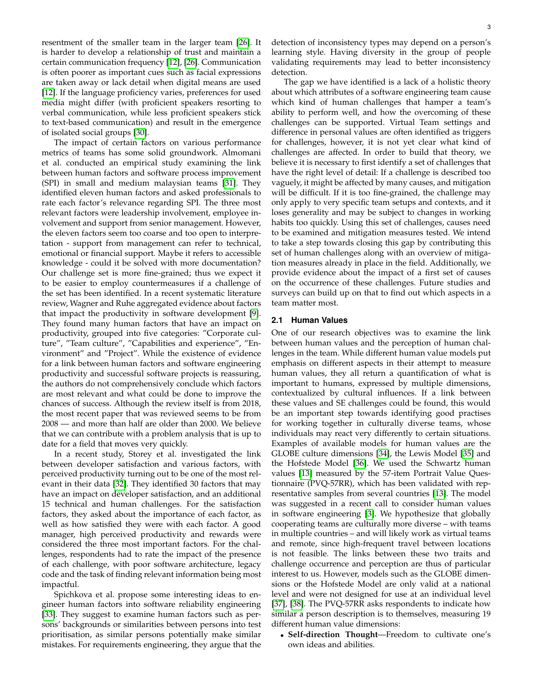resentment of the smaller team in the larger team [\[26\]](#page-13-25). It is harder to develop a relationship of trust and maintain a certain communication frequency [\[12\]](#page-13-11), [\[26\]](#page-13-25). Communication is often poorer as important cues such as facial expressions are taken away or lack detail when digital means are used [\[12\]](#page-13-11). If the language proficiency varies, preferences for used media might differ (with proficient speakers resorting to verbal communication, while less proficient speakers stick to text-based communication) and result in the emergence of isolated social groups [\[30\]](#page-13-29).

The impact of certain factors on various performance metrics of teams has some solid groundwork. Almomani et al. conducted an empirical study examining the link between human factors and software process improvement (SPI) in small and medium malaysian teams [\[31\]](#page-13-30). They identified eleven human factors and asked professionals to rate each factor's relevance regarding SPI. The three most relevant factors were leadership involvement, employee involvement and support from senior management. However, the eleven factors seem too coarse and too open to interpretation - support from management can refer to technical, emotional or financial support. Maybe it refers to accessible knowledge - could it be solved with more documentation? Our challenge set is more fine-grained; thus we expect it to be easier to employ countermeasures if a challenge of the set has been identified. In a recent systematic literature review, Wagner and Ruhe aggregated evidence about factors that impact the productivity in software development [\[9\]](#page-13-8). They found many human factors that have an impact on productivity, grouped into five categories: "Corporate culture", "Team culture", "Capabilities and experience", "Environment" and "Project". While the existence of evidence for a link between human factors and software engineering productivity and successful software projects is reassuring, the authors do not comprehensively conclude which factors are most relevant and what could be done to improve the chances of success. Although the review itself is from 2018, the most recent paper that was reviewed seems to be from 2008 — and more than half are older than 2000. We believe that we can contribute with a problem analysis that is up to date for a field that moves very quickly.

In a recent study, Storey et al. investigated the link between developer satisfaction and various factors, with perceived productivity turning out to be one of the most relevant in their data [\[32\]](#page-13-31). They identified 30 factors that may have an impact on developer satisfaction, and an additional 15 technical and human challenges. For the satisfaction factors, they asked about the importance of each factor, as well as how satisfied they were with each factor. A good manager, high perceived productivity and rewards were considered the three most important factors. For the challenges, respondents had to rate the impact of the presence of each challenge, with poor software architecture, legacy code and the task of finding relevant information being most impactful.

Spichkova et al. propose some interesting ideas to engineer human factors into software reliability engineering [\[33\]](#page-13-32). They suggest to examine human factors such as persons' backgrounds or similarities between persons into test prioritisation, as similar persons potentially make similar mistakes. For requirements engineering, they argue that the detection of inconsistency types may depend on a person's learning style. Having diversity in the group of people validating requirements may lead to better inconsistency detection.

The gap we have identified is a lack of a holistic theory about which attributes of a software engineering team cause which kind of human challenges that hamper a team's ability to perform well, and how the overcoming of these challenges can be supported. Virtual Team settings and difference in personal values are often identified as triggers for challenges, however, it is not yet clear what kind of challenges are affected. In order to build that theory, we believe it is necessary to first identify a set of challenges that have the right level of detail: If a challenge is described too vaguely, it might be affected by many causes, and mitigation will be difficult. If it is too fine-grained, the challenge may only apply to very specific team setups and contexts, and it loses generality and may be subject to changes in working habits too quickly. Using this set of challenges, causes need to be examined and mitigation measures tested. We intend to take a step towards closing this gap by contributing this set of human challenges along with an overview of mitigation measures already in place in the field. Additionally, we provide evidence about the impact of a first set of causes on the occurrence of these challenges. Future studies and surveys can build up on that to find out which aspects in a team matter most.

## <span id="page-2-0"></span>**2.1 Human Values**

One of our research objectives was to examine the link between human values and the perception of human challenges in the team. While different human value models put emphasis on different aspects in their attempt to measure human values, they all return a quantification of what is important to humans, expressed by multiple dimensions, contextualized by cultural influences. If a link between these values and SE challenges could be found, this would be an important step towards identifying good practises for working together in culturally diverse teams, whose individuals may react very differently to certain situations. Examples of available models for human values are the GLOBE culture dimensions [\[34\]](#page-13-33), the Lewis Model [\[35\]](#page-13-34) and the Hofstede Model [\[36\]](#page-13-35). We used the Schwartz human values [\[13\]](#page-13-12) measured by the 57-item Portrait Value Questionnaire (PVQ-57RR), which has been validated with representative samples from several countries [\[13\]](#page-13-12). The model was suggested in a recent call to consider human values in software engineering [\[3\]](#page-13-2). We hypothesize that globally cooperating teams are culturally more diverse – with teams in multiple countries – and will likely work as virtual teams and remote, since high-frequent travel between locations is not feasible. The links between these two traits and challenge occurrence and perception are thus of particular interest to us. However, models such as the GLOBE dimensions or the Hofstede Model are only valid at a national level and were not designed for use at an individual level [\[37\]](#page-13-36), [\[38\]](#page-13-37). The PVQ-57RR asks respondents to indicate how similar a person description is to themselves, measuring 19 different human value dimensions:

• **Self-direction Thought**—Freedom to cultivate one's own ideas and abilities.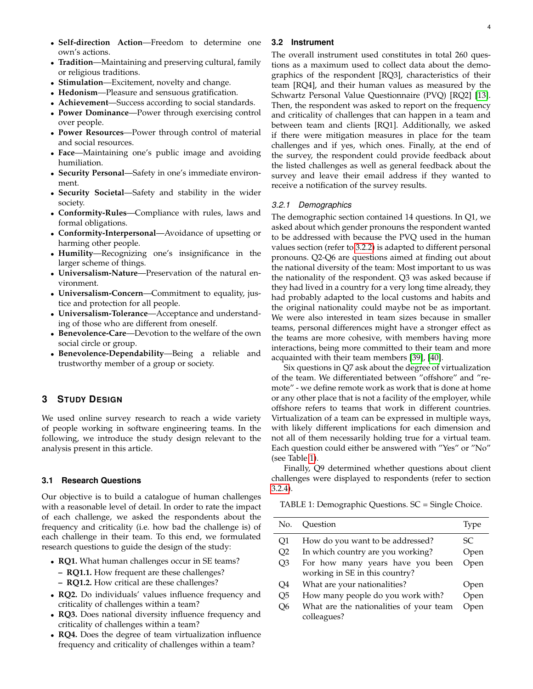- **Self-direction Action**—Freedom to determine one own's actions.
- **Tradition**—Maintaining and preserving cultural, family or religious traditions.
- **Stimulation**—Excitement, novelty and change.
- **Hedonism**—Pleasure and sensuous gratification.
- **Achievement**—Success according to social standards.
- **Power Dominance**—Power through exercising control over people.
- **Power Resources**—Power through control of material and social resources.
- **Face**—Maintaining one's public image and avoiding humiliation.
- **Security Personal**—Safety in one's immediate environment.
- **Security Societal**—Safety and stability in the wider society.
- **Conformity-Rules**—Compliance with rules, laws and formal obligations.
- **Conformity-Interpersonal**—Avoidance of upsetting or harming other people.
- **Humility**—Recognizing one's insignificance in the larger scheme of things.
- **Universalism-Nature**—Preservation of the natural environment.
- **Universalism-Concern**—Commitment to equality, justice and protection for all people.
- **Universalism-Tolerance**—Acceptance and understanding of those who are different from oneself.
- **Benevolence-Care**—Devotion to the welfare of the own social circle or group.
- **Benevolence-Dependability**—Being a reliable and trustworthy member of a group or society.

## <span id="page-3-0"></span>**3 STUDY DESIGN**

We used online survey research to reach a wide variety of people working in software engineering teams. In the following, we introduce the study design relevant to the analysis present in this article.

#### **3.1 Research Questions**

Our objective is to build a catalogue of human challenges with a reasonable level of detail. In order to rate the impact of each challenge, we asked the respondents about the frequency and criticality (i.e. how bad the challenge is) of each challenge in their team. To this end, we formulated research questions to guide the design of the study:

- **RQ1.** What human challenges occur in SE teams?
	- **– RQ1.1.** How frequent are these challenges?
	- **– RQ1.2.** How critical are these challenges?
- **RQ2.** Do individuals' values influence frequency and criticality of challenges within a team?
- **RQ3.** Does national diversity influence frequency and criticality of challenges within a team?
- **RQ4.** Does the degree of team virtualization influence frequency and criticality of challenges within a team?

## **3.2 Instrument**

The overall instrument used constitutes in total 260 questions as a maximum used to collect data about the demographics of the respondent [RQ3], characteristics of their team [RQ4], and their human values as measured by the Schwartz Personal Value Questionnaire (PVQ) [RQ2] [\[13\]](#page-13-12). Then, the respondent was asked to report on the frequency and criticality of challenges that can happen in a team and between team and clients [RQ1]. Additionally, we asked if there were mitigation measures in place for the team challenges and if yes, which ones. Finally, at the end of the survey, the respondent could provide feedback about the listed challenges as well as general feedback about the survey and leave their email address if they wanted to receive a notification of the survey results.

#### *3.2.1 Demographics*

The demographic section contained 14 questions. In Q1, we asked about which gender pronouns the respondent wanted to be addressed with because the PVQ used in the human values section (refer to [3.2.2\)](#page-4-0) is adapted to different personal pronouns. Q2-Q6 are questions aimed at finding out about the national diversity of the team: Most important to us was the nationality of the respondent. Q3 was asked because if they had lived in a country for a very long time already, they had probably adapted to the local customs and habits and the original nationality could maybe not be as important. We were also interested in team sizes because in smaller teams, personal differences might have a stronger effect as the teams are more cohesive, with members having more interactions, being more committed to their team and more acquainted with their team members [\[39\]](#page-13-38), [\[40\]](#page-13-39).

Six questions in Q7 ask about the degree of virtualization of the team. We differentiated between "offshore" and "remote" - we define remote work as work that is done at home or any other place that is not a facility of the employer, while offshore refers to teams that work in different countries. Virtualization of a team can be expressed in multiple ways, with likely different implications for each dimension and not all of them necessarily holding true for a virtual team. Each question could either be answered with "Yes" or "No" (see Table [1\)](#page-3-1).

Finally, Q9 determined whether questions about client challenges were displayed to respondents (refer to section [3.2.4\)](#page-5-1).

<span id="page-3-1"></span>TABLE 1: Demographic Questions. SC = Single Choice.

| No. | Question                                | Type |
|-----|-----------------------------------------|------|
| Q1  | How do you want to be addressed?        | SС   |
| Q2  | In which country are you working?       | Open |
| O3  | For how many years have you been        | Open |
|     | working in SE in this country?          |      |
| Q4  | What are your nationalities?            | Open |
| O5  | How many people do you work with?       | Open |
| O6  | What are the nationalities of your team | Open |
|     | colleagues?                             |      |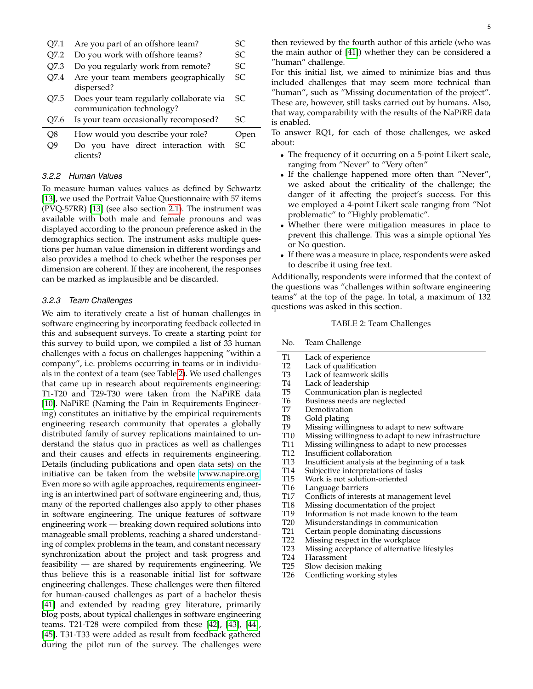| O7.1             | Are you part of an offshore team?                                     | SС        |  |  |  |  |
|------------------|-----------------------------------------------------------------------|-----------|--|--|--|--|
| O7.2             | Do you work with offshore teams?                                      |           |  |  |  |  |
| Q7.3             | Do you regularly work from remote?                                    |           |  |  |  |  |
| O7.4             | Are your team members geographically<br>dispersed?                    | <b>SC</b> |  |  |  |  |
| O <sub>7.5</sub> | Does your team regularly collaborate via<br>communication technology? | SС        |  |  |  |  |
| O7.6             | Is your team occasionally recomposed?                                 | SC.       |  |  |  |  |
| O8               | How would you describe your role?                                     | Jpen      |  |  |  |  |
| 99               | Do you have direct interaction with<br>clients?                       | SC        |  |  |  |  |
|                  |                                                                       |           |  |  |  |  |

## <span id="page-4-0"></span>*3.2.2 Human Values*

To measure human values values as defined by Schwartz [\[13\]](#page-13-12), we used the Portrait Value Questionnaire with 57 items (PVQ-57RR) [\[13\]](#page-13-12) (see also section [2.1\)](#page-2-0). The instrument was available with both male and female pronouns and was displayed according to the pronoun preference asked in the demographics section. The instrument asks multiple questions per human value dimension in different wordings and also provides a method to check whether the responses per dimension are coherent. If they are incoherent, the responses can be marked as implausible and be discarded.

### <span id="page-4-2"></span>*3.2.3 Team Challenges*

We aim to iteratively create a list of human challenges in software engineering by incorporating feedback collected in this and subsequent surveys. To create a starting point for this survey to build upon, we compiled a list of 33 human challenges with a focus on challenges happening "within a company", i.e. problems occurring in teams or in individuals in the context of a team (see Table [2\)](#page-4-1). We used challenges that came up in research about requirements engineering: T1-T20 and T29-T30 were taken from the NaPiRE data [\[10\]](#page-13-9). NaPiRE (Naming the Pain in Requirements Engineering) constitutes an initiative by the empirical requirements engineering research community that operates a globally distributed family of survey replications maintained to understand the status quo in practices as well as challenges and their causes and effects in requirements engineering. Details (including publications and open data sets) on the initiative can be taken from the website [www.napire.org.](www.napire.org) Even more so with agile approaches, requirements engineering is an intertwined part of software engineering and, thus, many of the reported challenges also apply to other phases in software engineering. The unique features of software engineering work — breaking down required solutions into manageable small problems, reaching a shared understanding of complex problems in the team, and constant necessary synchronization about the project and task progress and feasibility — are shared by requirements engineering. We thus believe this is a reasonable initial list for software engineering challenges. These challenges were then filtered for human-caused challenges as part of a bachelor thesis [\[41\]](#page-13-40) and extended by reading grey literature, primarily blog posts, about typical challenges in software engineering teams. T21-T28 were compiled from these [\[42\]](#page-13-41), [\[43\]](#page-14-0), [\[44\]](#page-14-1), [\[45\]](#page-14-2). T31-T33 were added as result from feedback gathered during the pilot run of the survey. The challenges were

5

then reviewed by the fourth author of this article (who was the main author of [\[41\]](#page-13-40)) whether they can be considered a "human" challenge.

For this initial list, we aimed to minimize bias and thus included challenges that may seem more technical than "human", such as "Missing documentation of the project". These are, however, still tasks carried out by humans. Also, that way, comparability with the results of the NaPiRE data is enabled.

To answer RQ1, for each of those challenges, we asked about:

- The frequency of it occurring on a 5-point Likert scale, ranging from "Never" to "Very often"
- If the challenge happened more often than "Never", we asked about the criticality of the challenge; the danger of it affecting the project's success. For this we employed a 4-point Likert scale ranging from "Not problematic" to "Highly problematic".
- Whether there were mitigation measures in place to prevent this challenge. This was a simple optional Yes or No question.
- If there was a measure in place, respondents were asked to describe it using free text.

Additionally, respondents were informed that the context of the questions was "challenges within software engineering teams" at the top of the page. In total, a maximum of 132 questions was asked in this section.

<span id="page-4-1"></span>TABLE 2: Team Challenges

| No.             | Team Challenge                                     |
|-----------------|----------------------------------------------------|
| Т1              | Lack of experience                                 |
| T <sub>2</sub>  | Lack of qualification                              |
| T <sub>3</sub>  | Lack of teamwork skills                            |
| T4              | Lack of leadership                                 |
| T5              | Communication plan is neglected                    |
| T6              | Business needs are neglected                       |
| T7              | Demotivation                                       |
| T8              | Gold plating                                       |
| T9              | Missing willingness to adapt to new software       |
| T10             | Missing willingness to adapt to new infrastructure |
| T11             | Missing willingness to adapt to new processes      |
| T12             | Insufficient collaboration                         |
| T13             | Insufficient analysis at the beginning of a task   |
| T14             | Subjective interpretations of tasks                |
| T <sub>15</sub> | Work is not solution-oriented                      |
| T16             | Language barriers                                  |
| T17             | Conflicts of interests at management level         |
| T18             | Missing documentation of the project               |
| T19             | Information is not made known to the team          |
| T20             | Misunderstandings in communication                 |
| T21             | Certain people dominating discussions              |
| T22             | Missing respect in the workplace                   |
| T <sub>23</sub> | Missing acceptance of alternative lifestyles       |
| T24             | Harassment                                         |
| T25             | Slow decision making                               |
| T <sub>26</sub> | Conflicting working styles                         |
|                 |                                                    |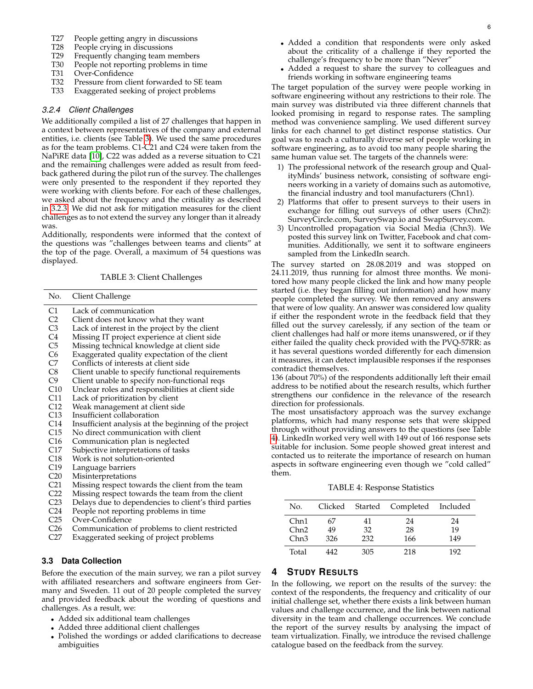- T27 People getting angry in discussions<br>T28 People crying in discussions
- T28 People crying in discussions<br>T29 Frequently changing team m
- T29 Frequently changing team members<br>T30 People not reporting problems in tin
- T30 People not reporting problems in time
- Over-Confidence
- T32 Pressure from client forwarded to SE team<br>T33 Exaggerated seeking of project problems
- Exaggerated seeking of project problems

#### <span id="page-5-1"></span>*3.2.4 Client Challenges*

We additionally compiled a list of 27 challenges that happen in a context between representatives of the company and external entities, i.e. clients (see Table [3\)](#page-5-2). We used the same procedures as for the team problems. C1-C21 and C24 were taken from the NaPiRE data [\[10\]](#page-13-9), C22 was added as a reverse situation to C21 and the remaining challenges were added as result from feedback gathered during the pilot run of the survey. The challenges were only presented to the respondent if they reported they were working with clients before. For each of these challenges, we asked about the frequency and the criticality as described in [3.2.3.](#page-4-2) We did not ask for mitigation measures for the client challenges as to not extend the survey any longer than it already was.

Additionally, respondents were informed that the context of the questions was "challenges between teams and clients" at the top of the page. Overall, a maximum of 54 questions was displayed.

<span id="page-5-2"></span>TABLE 3: Client Challenges

| No.             | Client Challenge                                                                                              |
|-----------------|---------------------------------------------------------------------------------------------------------------|
| C1              | Lack of communication                                                                                         |
| C2              | Client does not know what they want                                                                           |
| C <sub>3</sub>  | Lack of interest in the project by the client                                                                 |
| C4              | Missing IT project experience at client side                                                                  |
| C5              | Missing technical knowledge at client side                                                                    |
| C6              | Exaggerated quality expectation of the client                                                                 |
| C7              | Conflicts of interests at client side                                                                         |
| C8              | Client unable to specify functional requirements                                                              |
| C9              | Client unable to specify non-functional reqs                                                                  |
| C10             | Unclear roles and responsibilities at client side                                                             |
| C <sub>11</sub> | Lack of prioritization by client                                                                              |
| C12             | Weak management at client side                                                                                |
| C <sub>13</sub> | Insufficient collaboration                                                                                    |
| C <sub>14</sub> | Insufficient analysis at the beginning of the project                                                         |
| C <sub>15</sub> | No direct communication with client                                                                           |
| C16             | Communication plan is neglected                                                                               |
| C17             | Subjective interpretations of tasks                                                                           |
| C18             | Work is not solution-oriented                                                                                 |
| C19             | Language barriers                                                                                             |
| C <sub>20</sub> | Misinterpretations                                                                                            |
| C21             | Missing respect towards the client from the team                                                              |
| C22             | Missing respect towards the team from the client                                                              |
| $\cap$          | 17. de la cada de la decembra de la cada de la cada de la cada de la cada de la cada de la cada de la cada de |

- C23 Delays due to dependencies to client's third parties C24 People not reporting problems in time
- People not reporting problems in time
- C25 Over-Confidence
- C26 Communication of problems to client restricted
- C27 Exaggerated seeking of project problems

## **3.3 Data Collection**

Before the execution of the main survey, we ran a pilot survey with affiliated researchers and software engineers from Germany and Sweden. 11 out of 20 people completed the survey and provided feedback about the wording of questions and challenges. As a result, we:

- Added six additional team challenges
- Added three additional client challenges
- Polished the wordings or added clarifications to decrease ambiguities
- Added a condition that respondents were only asked about the criticality of a challenge if they reported the challenge's frequency to be more than "Never"
- Added a request to share the survey to colleagues and friends working in software engineering teams

The target population of the survey were people working in software engineering without any restrictions to their role. The main survey was distributed via three different channels that looked promising in regard to response rates. The sampling method was convenience sampling. We used different survey links for each channel to get distinct response statistics. Our goal was to reach a culturally diverse set of people working in software engineering, as to avoid too many people sharing the same human value set. The targets of the channels were:

- 1) The professional network of the research group and QualityMinds' business network, consisting of software engineers working in a variety of domains such as automotive, the financial industry and tool manufacturers (Chn1).
- 2) Platforms that offer to present surveys to their users in exchange for filling out surveys of other users (Chn2): SurveyCircle.com, SurveySwap.io and SwapSurvey.com.
- 3) Uncontrolled propagation via Social Media (Chn3). We posted this survey link on Twitter, Facebook and chat communities. Additionally, we sent it to software engineers sampled from the LinkedIn search.

The survey started on 28.08.2019 and was stopped on 24.11.2019, thus running for almost three months. We monitored how many people clicked the link and how many people started (i.e. they began filling out information) and how many people completed the survey. We then removed any answers that were of low quality. An answer was considered low quality if either the respondent wrote in the feedback field that they filled out the survey carelessly, if any section of the team or client challenges had half or more items unanswered, or if they either failed the quality check provided with the PVQ-57RR: as it has several questions worded differently for each dimension it measures, it can detect implausible responses if the responses contradict themselves.

136 (about 70%) of the respondents additionally left their email address to be notified about the research results, which further strengthens our confidence in the relevance of the research direction for professionals.

The most unsatisfactory approach was the survey exchange platforms, which had many response sets that were skipped through without providing answers to the questions (see Table [4\)](#page-5-3). LinkedIn worked very well with 149 out of 166 response sets suitable for inclusion. Some people showed great interest and contacted us to reiterate the importance of research on human aspects in software engineering even though we "cold called" them.

<span id="page-5-3"></span>TABLE 4: Response Statistics

| No.   |     |     | Clicked Started Completed Included |     |
|-------|-----|-----|------------------------------------|-----|
| Chn1  | 67  | 41  | 24                                 | 24  |
| Chn2  | 49  | 32  | 28                                 | 19  |
| Chn3  | 326 | 232 | 166                                | 149 |
| Total | 442 | 305 | 218                                | 192 |

## <span id="page-5-0"></span>**4 STUDY RESULTS**

In the following, we report on the results of the survey: the context of the respondents, the frequency and criticality of our initial challenge set, whether there exists a link between human values and challenge occurrence, and the link between national diversity in the team and challenge occurrences. We conclude the report of the survey results by analysing the impact of team virtualization. Finally, we introduce the revised challenge catalogue based on the feedback from the survey.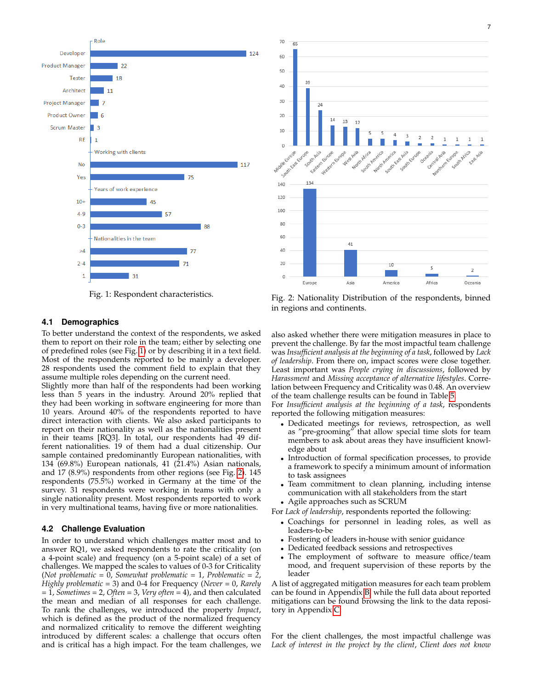<span id="page-6-0"></span>

Fig. 1: Respondent characteristics.

<span id="page-6-1"></span>

Fig. 2: Nationality Distribution of the respondents, binned in regions and continents.

#### **4.1 Demographics**

To better understand the context of the respondents, we asked them to report on their role in the team; either by selecting one of predefined roles (see Fig. [1\)](#page-6-0) or by describing it in a text field. Most of the respondents reported to be mainly a developer. 28 respondents used the comment field to explain that they assume multiple roles depending on the current need.

Slightly more than half of the respondents had been working less than 5 years in the industry. Around 20% replied that they had been working in software engineering for more than 10 years. Around 40% of the respondents reported to have direct interaction with clients. We also asked participants to report on their nationality as well as the nationalities present in their teams [RQ3]. In total, our respondents had 49 different nationalities. 19 of them had a dual citizenship. Our sample contained predominantly European nationalities, with 134 (69.8%) European nationals, 41 (21.4%) Asian nationals, and 17 (8.9%) respondents from other regions (see Fig. [2\)](#page-6-1). 145 respondents (75.5%) worked in Germany at the time of the survey. 31 respondents were working in teams with only a single nationality present. Most respondents reported to work in very multinational teams, having five or more nationalities.

#### **4.2 Challenge Evaluation**

In order to understand which challenges matter most and to answer RQ1, we asked respondents to rate the criticality (on a 4-point scale) and frequency (on a 5-point scale) of a set of challenges. We mapped the scales to values of 0-3 for Criticality (*Not problematic* = 0, *Somewhat problematic* = 1, *Problematic = 2*, *Highly problematic* = 3) and 0-4 for Frequency (*Never* = 0, *Rarely* = 1, *Sometimes* = 2, *Often* = 3, *Very often* = 4), and then calculated the mean and median of all responses for each challenge. To rank the challenges, we introduced the property *Impact*, which is defined as the product of the normalized frequency and normalized criticality to remove the different weighting introduced by different scales: a challenge that occurs often and is critical has a high impact. For the team challenges, we

also asked whether there were mitigation measures in place to prevent the challenge. By far the most impactful team challenge was *Insufficient analysis at the beginning of a task*, followed by *Lack of leadership*. From there on, impact scores were close together. Least important was *People crying in discussions*, followed by *Harassment* and *Missing acceptance of alternative lifestyles*. Correlation between Frequency and Criticality was 0.48. An overview of the team challenge results can be found in Table [5.](#page-7-0)

For *Insufficient analysis at the beginning of a task*, respondents reported the following mitigation measures:

- Dedicated meetings for reviews, retrospection, as well as "pre-grooming" that allow special time slots for team members to ask about areas they have insufficient knowledge about
- Introduction of formal specification processes, to provide a framework to specify a minimum amount of information to task assignees
- Team commitment to clean planning, including intense communication with all stakeholders from the start
- Agile approaches such as SCRUM
- For *Lack of leadership*, respondents reported the following:
	- Coachings for personnel in leading roles, as well as leaders-to-be
	- Fostering of leaders in-house with senior guidance
	- Dedicated feedback sessions and retrospectives
	- The employment of software to measure office/team mood, and frequent supervision of these reports by the leader

A list of aggregated mitigation measures for each team problem can be found in Appendix [B,](#page-15-0) while the full data about reported mitigations can be found browsing the link to the data repository in Appendix [C.](#page-17-0)

For the client challenges, the most impactful challenge was *Lack of interest in the project by the client*, *Client does not know*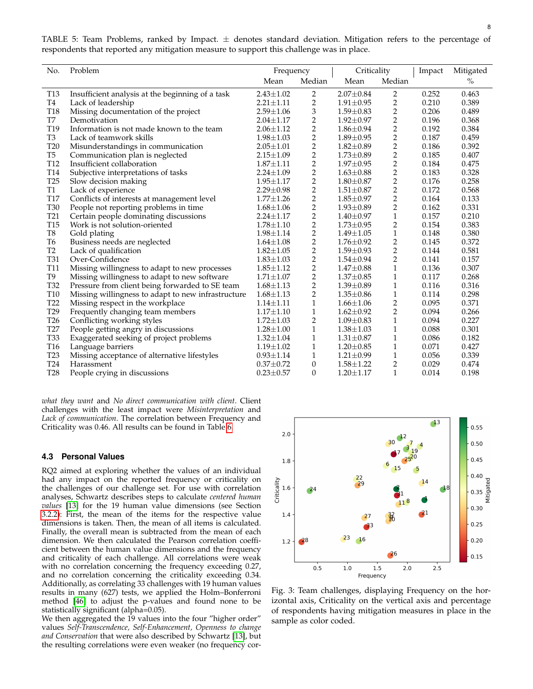<span id="page-7-0"></span>TABLE 5: Team Problems, ranked by Impact.  $\pm$  denotes standard deviation. Mitigation refers to the percentage of respondents that reported any mitigation measure to support this challenge was in place.

| No.             | Problem                                            | Frequency       |                | Criticality     |                         | Impact | Mitigated     |
|-----------------|----------------------------------------------------|-----------------|----------------|-----------------|-------------------------|--------|---------------|
|                 |                                                    | Mean            | Median         | Mean            | Median                  |        | $\frac{0}{0}$ |
| T <sub>13</sub> | Insufficient analysis at the beginning of a task   | $2.43 \pm 1.02$ | 2              | $2.07 \pm 0.84$ | 2                       | 0.252  | 0.463         |
| T <sub>4</sub>  | Lack of leadership                                 | $2.21 \pm 1.11$ | $\overline{c}$ | $1.91 \pm 0.95$ | $\overline{\mathbf{c}}$ | 0.210  | 0.389         |
| <b>T18</b>      | Missing documentation of the project               | $2.59 \pm 1.06$ | 3              | $1.59 \pm 0.83$ | $\overline{2}$          | 0.206  | 0.489         |
| T7              | Demotivation                                       | $2.04 \pm 1.17$ | $\overline{2}$ | $1.92 \pm 0.97$ | $\overline{c}$          | 0.196  | 0.368         |
| T19             | Information is not made known to the team          | $2.06 \pm 1.12$ | $\overline{2}$ | $1.86 \pm 0.94$ | $\overline{c}$          | 0.192  | 0.384         |
| T <sub>3</sub>  | Lack of teamwork skills                            | $1.98 \pm 1.03$ | $\overline{c}$ | $1.89 \pm 0.95$ | $\overline{c}$          | 0.187  | 0.459         |
| <b>T20</b>      | Misunderstandings in communication                 | $2.05 \pm 1.01$ | $\overline{c}$ | $1.82 \pm 0.89$ | $\overline{c}$          | 0.186  | 0.392         |
| T <sub>5</sub>  | Communication plan is neglected                    | $2.15 \pm 1.09$ | $\overline{c}$ | $1.73 \pm 0.89$ | $\overline{\mathbf{c}}$ | 0.185  | 0.407         |
| T12             | Insufficient collaboration                         | $1.87 \pm 1.11$ | $\overline{c}$ | $1.97 \pm 0.95$ | $\overline{\mathbf{c}}$ | 0.184  | 0.475         |
| T <sub>14</sub> | Subjective interpretations of tasks                | $2.24 \pm 1.09$ | 2              | $1.63 \pm 0.88$ | $\overline{c}$          | 0.183  | 0.328         |
| <b>T25</b>      | Slow decision making                               | $1.95 \pm 1.17$ | 2              | $1.80 \pm 0.87$ | $\overline{c}$          | 0.176  | 0.258         |
| T1              | Lack of experience                                 | $2.29 \pm 0.98$ | $\overline{2}$ | $1.51 \pm 0.87$ | $\overline{2}$          | 0.172  | 0.568         |
| T <sub>17</sub> | Conflicts of interests at management level         | $1.77 \pm 1.26$ | 2              | $1.85 \pm 0.97$ | 2                       | 0.164  | 0.133         |
| <b>T30</b>      | People not reporting problems in time              | $1.68 \pm 1.06$ | 2              | $1.93 \pm 0.89$ | $\overline{2}$          | 0.162  | 0.331         |
| T <sub>21</sub> | Certain people dominating discussions              | $2.24 \pm 1.17$ | 2              | $1.40 \pm 0.97$ | 1                       | 0.157  | 0.210         |
| T <sub>15</sub> | Work is not solution-oriented                      | $1.78 \pm 1.10$ | $\overline{c}$ | $1.73 \pm 0.95$ | $\overline{c}$          | 0.154  | 0.383         |
| T <sub>8</sub>  | Gold plating                                       | $1.98 \pm 1.14$ | $\overline{c}$ | $1.49 \pm 1.05$ | $\mathbf 1$             | 0.148  | 0.380         |
| T <sub>6</sub>  | Business needs are neglected                       | $1.64 \pm 1.08$ | $\overline{c}$ | $1.76 \pm 0.92$ | $\overline{\mathbf{c}}$ | 0.145  | 0.372         |
| T <sub>2</sub>  | Lack of qualification                              | $1.82 + 1.05$   | $\overline{2}$ | $1.59 \pm 0.93$ | $\overline{2}$          | 0.144  | 0.581         |
| <b>T31</b>      | Over-Confidence                                    | $1.83 \pm 1.03$ | $\overline{c}$ | $1.54 \pm 0.94$ | $\overline{c}$          | 0.141  | 0.157         |
| T <sub>11</sub> | Missing willingness to adapt to new processes      | $1.85 \pm 1.12$ | $\overline{2}$ | $1.47 \pm 0.88$ | $\mathbf{1}$            | 0.136  | 0.307         |
| T9              | Missing willingness to adapt to new software       | $1.71 \pm 1.07$ | $\overline{2}$ | $1.37 \pm 0.85$ | $\mathbf 1$             | 0.117  | 0.268         |
| T32             | Pressure from client being forwarded to SE team    | $1.68 \pm 1.13$ | $\overline{2}$ | $1.39 \pm 0.89$ | 1                       | 0.116  | 0.316         |
| T <sub>10</sub> | Missing willingness to adapt to new infrastructure | $1.68 \pm 1.13$ | 2              | $1.35 \pm 0.86$ | $\mathbf{1}$            | 0.114  | 0.298         |
| T <sub>22</sub> | Missing respect in the workplace                   | $1.14 \pm 1.11$ | 1              | $1.66 \pm 1.06$ | $\overline{c}$          | 0.095  | 0.371         |
| T <sub>29</sub> | Frequently changing team members                   | $1.17 \pm 1.10$ | 1              | $1.62 \pm 0.92$ | 2                       | 0.094  | 0.266         |
| T <sub>26</sub> | Conflicting working styles                         | $1.72 \pm 1.03$ | 2              | $1.09 \pm 0.83$ | $\mathbf{1}$            | 0.094  | 0.227         |
| T27             | People getting angry in discussions                | $1.28 \pm 1.00$ | $\mathbf{1}$   | $1.38 \pm 1.03$ | 1                       | 0.088  | 0.301         |
| <b>T33</b>      | Exaggerated seeking of project problems            | $1.32 \pm 1.04$ | 1              | $1.31 \pm 0.87$ | 1                       | 0.086  | 0.182         |
| T <sub>16</sub> | Language barriers                                  | $1.19 \pm 1.02$ | 1              | $1.20 \pm 0.85$ | 1                       | 0.071  | 0.427         |
| T <sub>23</sub> | Missing acceptance of alternative lifestyles       | $0.93 \pm 1.14$ | 1              | $1.21 \pm 0.99$ | 1                       | 0.056  | 0.339         |
| T <sub>24</sub> | Harassment                                         | $0.37 + 0.72$   | $\theta$       | $1.58 + 1.22$   | $\overline{\mathbf{c}}$ | 0.029  | 0.474         |
| <b>T28</b>      | People crying in discussions                       | $0.23 \pm 0.57$ | $\mathbf{0}$   | $1.20 \pm 1.17$ | $\mathbf{1}$            | 0.014  | 0.198         |

*what they want* and *No direct communication with client*. Client challenges with the least impact were *Misinterpretation* and *Lack of communication*. The correlation between Frequency and Criticality was 0.46. All results can be found in Table [6.](#page-8-0)

#### **4.3 Personal Values**

RQ2 aimed at exploring whether the values of an individual had any impact on the reported frequency or criticality on the challenges of our challenge set. For use with correlation analyses, Schwartz describes steps to calculate *centered human values* [\[13\]](#page-13-12) for the 19 human value dimensions (see Section [3.2.2\)](#page-4-0): First, the mean of the items for the respective value dimensions is taken. Then, the mean of all items is calculated. Finally, the overall mean is subtracted from the mean of each dimension. We then calculated the Pearson correlation coefficient between the human value dimensions and the frequency and criticality of each challenge. All correlations were weak with no correlation concerning the frequency exceeding 0.27, and no correlation concerning the criticality exceeding 0.34. Additionally, as correlating 33 challenges with 19 human values results in many (627) tests, we applied the Holm–Bonferroni method [\[46\]](#page-14-3) to adjust the p-values and found none to be statistically significant (alpha=0.05).

We then aggregated the 19 values into the four "higher order" values *Self-Transcendence, Self-Enhancement, Openness to change and Conservation* that were also described by Schwartz [\[13\]](#page-13-12), but the resulting correlations were even weaker (no frequency cor-

<span id="page-7-1"></span>

Fig. 3: Team challenges, displaying Frequency on the horizontal axis, Criticality on the vertical axis and percentage of respondents having mitigation measures in place in the sample as color coded.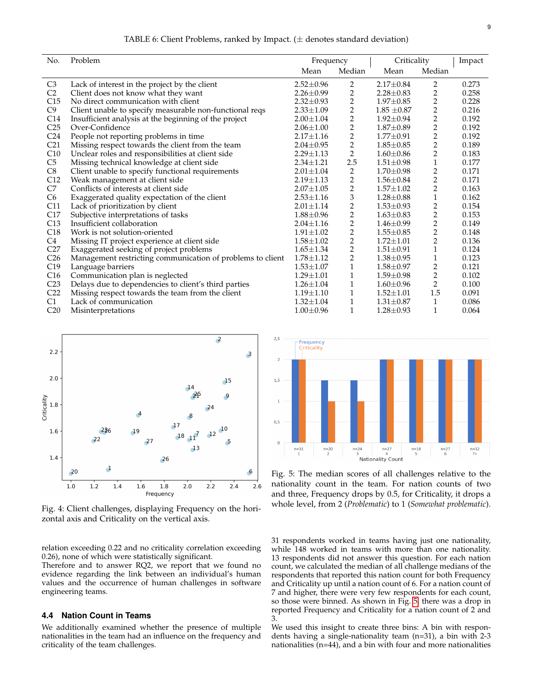<span id="page-8-0"></span>

| No.             | Problem                                                    | Frequency       |                         | Criticality     |                         | Impact |
|-----------------|------------------------------------------------------------|-----------------|-------------------------|-----------------|-------------------------|--------|
|                 |                                                            | Mean            | Median                  | Mean            | Median                  |        |
| C <sub>3</sub>  | Lack of interest in the project by the client              | $2.52 \pm 0.96$ | 2                       | $2.17 \pm 0.84$ | 2                       | 0.273  |
| C <sub>2</sub>  | Client does not know what they want                        | $2.26 \pm 0.99$ | 2                       | $2.28 \pm 0.83$ | 2                       | 0.258  |
| C15             | No direct communication with client                        | $2.32 \pm 0.93$ | $\overline{c}$          | $1.97 \pm 0.85$ | $\overline{c}$          | 0.228  |
| C9              | Client unable to specify measurable non-functional reqs    | $2.33 \pm 1.09$ | $\overline{c}$          | $1.85 \pm 0.87$ | $\overline{\mathbf{c}}$ | 0.216  |
| C14             | Insufficient analysis at the beginning of the project      | $2.00 \pm 1.04$ | $\overline{c}$          | $1.92 \pm 0.94$ | 2                       | 0.192  |
| C <sub>25</sub> | Over-Confidence                                            | $2.06 \pm 1.00$ | $\overline{\mathbf{c}}$ | $1.87 \pm 0.89$ | $\overline{2}$          | 0.192  |
| C <sub>24</sub> | People not reporting problems in time                      | $2.17 \pm 1.16$ | $\overline{c}$          | $1.77 \pm 0.91$ | $\overline{c}$          | 0.192  |
| C <sub>21</sub> | Missing respect towards the client from the team           | $2.04 \pm 0.95$ | $\overline{\mathbf{c}}$ | $1.85 \pm 0.85$ | $\overline{\mathbf{c}}$ | 0.189  |
| C10             | Unclear roles and responsibilities at client side          | $2.29 \pm 1.13$ | $\overline{c}$          | $1.60 \pm 0.86$ | 2                       | 0.183  |
| C <sub>5</sub>  | Missing technical knowledge at client side                 | $2.34 \pm 1.21$ | 2.5                     | $1.51 \pm 0.98$ | $\mathbf 1$             | 0.177  |
| C8              | Client unable to specify functional requirements           | $2.01 \pm 1.04$ | $\overline{\mathbf{c}}$ | $1.70 \pm 0.98$ | $\overline{\mathbf{c}}$ | 0.171  |
| C12             | Weak management at client side                             | $2.19 \pm 1.13$ | $\overline{\mathbf{c}}$ | $1.56 \pm 0.84$ | $\overline{c}$          | 0.171  |
| C7              | Conflicts of interests at client side                      | $2.07 \pm 1.05$ | $\overline{c}$          | $1.57 \pm 1.02$ | $\overline{2}$          | 0.163  |
| C <sub>6</sub>  | Exaggerated quality expectation of the client              | $2.53 \pm 1.16$ | 3                       | $1.28 \pm 0.88$ | $\mathbf{1}$            | 0.162  |
| C11             | Lack of prioritization by client                           | $2.01 \pm 1.14$ | $\overline{c}$          | $1.53 \pm 0.93$ | $\overline{\mathbf{c}}$ | 0.154  |
| C17             | Subjective interpretations of tasks                        | $1.88 \pm 0.96$ | $\overline{c}$          | $1.63 \pm 0.83$ | $\overline{c}$          | 0.153  |
| C13             | Insufficient collaboration                                 | $2.04 \pm 1.16$ | $\overline{c}$          | $1.46 \pm 0.99$ | $\overline{c}$          | 0.149  |
| C18             | Work is not solution-oriented                              | $1.91 \pm 1.02$ | $\overline{c}$          | $1.55 \pm 0.85$ | $\overline{c}$          | 0.148  |
| C <sub>4</sub>  | Missing IT project experience at client side               | $1.58 + 1.02$   | $\overline{2}$          | $1.72 \pm 1.01$ | $\overline{2}$          | 0.136  |
| C27             | Exaggerated seeking of project problems                    | $1.65 \pm 1.34$ | 2                       | $1.51 \pm 0.91$ | 1                       | 0.124  |
| C <sub>26</sub> | Management restricting communication of problems to client | $1.78 \pm 1.12$ | $\overline{c}$          | $1.38 \pm 0.95$ | 1                       | 0.123  |
| C19             | Language barriers                                          | $1.53 \pm 1.07$ | $\mathbf{1}$            | $1.58 \pm 0.97$ | 2                       | 0.121  |
| C16             | Communication plan is neglected                            | $1.29 \pm 1.01$ | 1                       | $1.59 \pm 0.98$ | 2                       | 0.102  |
| C <sub>23</sub> | Delays due to dependencies to client's third parties       | $1.26 \pm 1.04$ | 1                       | $1.60 \pm 0.96$ | 2                       | 0.100  |
| C <sub>22</sub> | Missing respect towards the team from the client           | $1.19 \pm 1.10$ | 1                       | $1.52 \pm 1.01$ | 1.5                     | 0.091  |
| C1              | Lack of communication                                      | $1.32 \pm 1.04$ | 1                       | $1.31 \pm 0.87$ | 1                       | 0.086  |
| C20             | Misinterpretations                                         | $1.00 \pm 0.96$ | 1                       | $1.28 \pm 0.93$ | 1                       | 0.064  |

<span id="page-8-2"></span>![](_page_8_Figure_2.jpeg)

Fig. 4: Client challenges, displaying Frequency on the horizontal axis and Criticality on the vertical axis.

relation exceeding 0.22 and no criticality correlation exceeding 0.26), none of which were statistically significant.

Therefore and to answer RQ2, we report that we found no evidence regarding the link between an individual's human values and the occurrence of human challenges in software engineering teams.

## <span id="page-8-3"></span>**4.4 Nation Count in Teams**

We additionally examined whether the presence of multiple nationalities in the team had an influence on the frequency and criticality of the team challenges.

<span id="page-8-1"></span>![](_page_8_Figure_8.jpeg)

Fig. 5: The median scores of all challenges relative to the nationality count in the team. For nation counts of two and three, Frequency drops by 0.5, for Criticality, it drops a whole level, from 2 (*Problematic*) to 1 (*Somewhat problematic*).

31 respondents worked in teams having just one nationality, while 148 worked in teams with more than one nationality. 13 respondents did not answer this question. For each nation count, we calculated the median of all challenge medians of the respondents that reported this nation count for both Frequency and Criticality up until a nation count of 6. For a nation count of 7 and higher, there were very few respondents for each count, so those were binned. As shown in Fig. [5,](#page-8-1) there was a drop in reported Frequency and Criticality for a nation count of 2 and 3.

We used this insight to create three bins: A bin with respondents having a single-nationality team (n=31), a bin with 2-3 nationalities (n=44), and a bin with four and more nationalities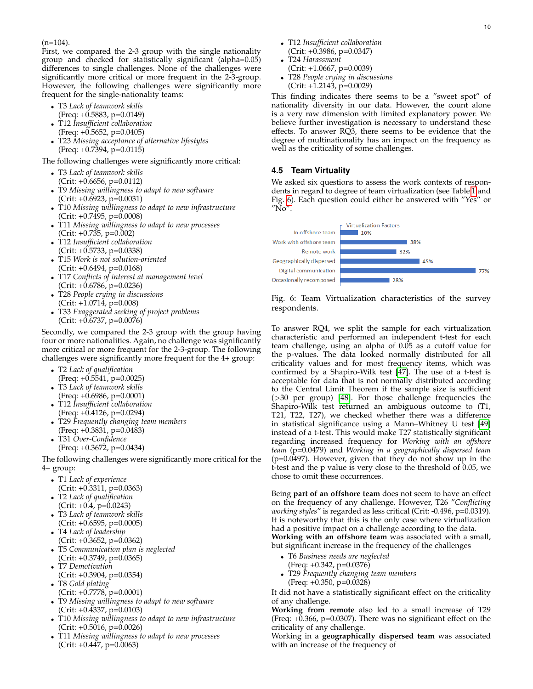$(n=104)$ .

First, we compared the 2-3 group with the single nationality group and checked for statistically significant (alpha=0.05) differences to single challenges. None of the challenges were significantly more critical or more frequent in the 2-3-group. However, the following challenges were significantly more frequent for the single-nationality teams:

- T3 *Lack of teamwork skills*
- (Freq: +0.5883, p=0.0149)
- T12 *Insufficient collaboration*
- (Freq: +0.5652, p=0.0405) • T23 *Missing acceptance of alternative lifestyles* (Freq: +0.7394, p=0.0115)

The following challenges were significantly more critical:

- T3 *Lack of teamwork skills* (Crit: +0.6656, p=0.0112)
- T9 *Missing willingness to adapt to new software* (Crit: +0.6923, p=0.0031)
- T10 *Missing willingness to adapt to new infrastructure*  $(Crit: +0.7495, p=0.0008)$
- T11 *Missing willingness to adapt to new processes* (Crit: +0.735, p=0.002)
- T12 *Insufficient collaboration* (Crit: +0.5733, p=0.0338)
- T15 *Work is not solution-oriented* (Crit: +0.6494, p=0.0168)
- T17 *Conflicts of interest at management level* (Crit: +0.6786, p=0.0236)
- T28 *People crying in discussions* (Crit: +1.0714, p=0.008)
- T33 *Exaggerated seeking of project problems*  $(Crit: +0.6737, p=0.0076)$

Secondly, we compared the 2-3 group with the group having four or more nationalities. Again, no challenge was significantly more critical or more frequent for the 2-3-group. The following challenges were significantly more frequent for the 4+ group:

- T2 *Lack of qualification* (Freq: +0.5541, p=0.0025)
- T3 *Lack of teamwork skills* (Freq: +0.6986, p=0.0001)
- T12 *Insufficient collaboration* (Freq: +0.4126, p=0.0294)
- T29 *Frequently changing team members* (Freq: +0.3831, p=0.0483)
- T31 *Over-Confidence*
	- (Freq: +0.3672, p=0.0434)

The following challenges were significantly more critical for the 4+ group:

- T1 *Lack of experience*
- (Crit: +0.3311, p=0.0363)
- T2 *Lack of qualification*
- (Crit: +0.4, p=0.0243)
- T3 *Lack of teamwork skills*  $(Crit: +0.6595, p=0.0005)$
- T4 *Lack of leadership* (Crit: +0.3652, p=0.0362)
- T5 *Communication plan is neglected*  $(Crit: +0.3749, p=0.0365)$
- T7 *Demotivation*
- (Crit: +0.3904, p=0.0354)
- T8 *Gold plating*
- (Crit: +0.7778, p=0.0001)
- T9 *Missing willingness to adapt to new software* (Crit: +0.4337, p=0.0103)
- T10 *Missing willingness to adapt to new infrastructure* (Crit: +0.5016, p=0.0026)
- T11 *Missing willingness to adapt to new processes*  $(Crit: +0.447, p=0.0063)$
- T12 *Insufficient collaboration* (Crit: +0.3986, p=0.0347)
- T24 *Harassment*
- (Crit: +1.0667, p=0.0039)
- T28 *People crying in discussions*
- (Crit: +1.2143, p=0.0029)

This finding indicates there seems to be a "sweet spot" of nationality diversity in our data. However, the count alone is a very raw dimension with limited explanatory power. We believe further investigation is necessary to understand these effects. To answer RQ3, there seems to be evidence that the degree of multinationality has an impact on the frequency as well as the criticality of some challenges.

## <span id="page-9-1"></span>**4.5 Team Virtuality**

We asked six questions to assess the work contexts of respondents in regard to degree of team virtualization (see Table [1](#page-3-1) and Fig. [6\)](#page-9-0). Each question could either be answered with "Yes" or "No".

<span id="page-9-0"></span>![](_page_9_Figure_46.jpeg)

Fig. 6: Team Virtualization characteristics of the survey respondents.

To answer RQ4, we split the sample for each virtualization characteristic and performed an independent t-test for each team challenge, using an alpha of 0.05 as a cutoff value for the p-values. The data looked normally distributed for all criticality values and for most frequency items, which was confirmed by a Shapiro-Wilk test  $[47]$ . The use of a t-test is acceptable for data that is not normally distributed according to the Central Limit Theorem if the sample size is sufficient (>30 per group) [\[48\]](#page-14-5). For those challenge frequencies the Shapiro-Wilk test returned an ambiguous outcome to (T1, T21, T22, T27), we checked whether there was a difference in statistical significance using a Mann–Whitney U test [\[49\]](#page-14-6) instead of a t-test. This would make T27 statistically significant regarding increased frequency for *Working with an offshore team* (p=0.0479) and *Working in a geographically dispersed team* (p=0.0497). However, given that they do not show up in the t-test and the p value is very close to the threshold of 0.05, we chose to omit these occurrences.

Being **part of an offshore team** does not seem to have an effect on the frequency of any challenge. However, T26 "*Conflicting working styles*" is regarded as less critical (Crit: -0.496, p=0.0319). It is noteworthy that this is the only case where virtualization had a positive impact on a challenge according to the data. **Working with an offshore team** was associated with a small, but significant increase in the frequency of the challenges

- T6 *Business needs are neglected*
- (Freq: +0.342, p=0.0376)
- T29 *Frequently changing team members* (Freq: +0.350, p=0.0328)

It did not have a statistically significant effect on the criticality of any challenge.

**Working from remote** also led to a small increase of T29 (Freq: +0.366, p=0.0307). There was no significant effect on the criticality of any challenge.

Working in a **geographically dispersed team** was associated with an increase of the frequency of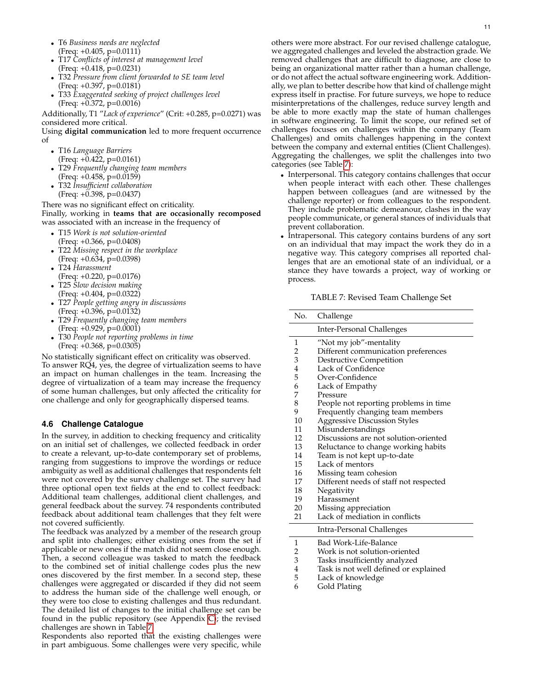- T6 *Business needs are neglected*
- $(Freq: +0.405, p=0.0111)$
- T17 *Conflicts of interest at management level* (Freq: +0.418, p=0.0231)
- T32 *Pressure from client forwarded to SE team level* (Freq: +0.397, p=0.0181)
- T33 *Exaggerated seeking of project challenges level*  $(Freq: +0.372, p=0.0016)$

Additionally, T1 "*Lack of experience*" (Crit: +0.285, p=0.0271) was considered more critical.

Using **digital communication** led to more frequent occurrence of

- T16 *Language Barriers*
- $(Freq: +0.422, p=0.0161)$
- T29 *Frequently changing team members* (Freq: +0.458, p=0.0159)
- T32 *Insufficient collaboration* (Freq: +0.398, p=0.0437)

There was no significant effect on criticality.

Finally, working in **teams that are occasionally recomposed** was associated with an increase in the frequency of

- T15 *Work is not solution-oriented*
- (Freq: +0.366, p=0.0408)
- T22 *Missing respect in the workplace*
- (Freq: +0.634, p=0.0398) • T24 *Harassment*
- (Freq: +0.220, p=0.0176)
- T25 *Slow decision making*  $(Freq: +0.404, p=0.0322)$
- T27 *People getting angry in discussions* (Freq: +0.396, p=0.0132)
- T29 *Frequently changing team members*
- (Freq: +0.929, p=0.0001)
- T30 *People not reporting problems in time* (Freq: +0.368, p=0.0305)

No statistically significant effect on criticality was observed. To answer RQ4, yes, the degree of virtualization seems to have an impact on human challenges in the team. Increasing the degree of virtualization of a team may increase the frequency of some human challenges, but only affected the criticality for one challenge and only for geographically dispersed teams.

## **4.6 Challenge Catalogue**

In the survey, in addition to checking frequency and criticality on an initial set of challenges, we collected feedback in order to create a relevant, up-to-date contemporary set of problems, ranging from suggestions to improve the wordings or reduce ambiguity as well as additional challenges that respondents felt were not covered by the survey challenge set. The survey had three optional open text fields at the end to collect feedback: Additional team challenges, additional client challenges, and general feedback about the survey. 74 respondents contributed feedback about additional team challenges that they felt were not covered sufficiently.

The feedback was analyzed by a member of the research group and split into challenges; either existing ones from the set if applicable or new ones if the match did not seem close enough. Then, a second colleague was tasked to match the feedback to the combined set of initial challenge codes plus the new ones discovered by the first member. In a second step, these challenges were aggregated or discarded if they did not seem to address the human side of the challenge well enough, or they were too close to existing challenges and thus redundant. The detailed list of changes to the initial challenge set can be found in the public repository (see Appendix [C\)](#page-17-0); the revised challenges are shown in Table [7.](#page-10-0)

Respondents also reported that the existing challenges were in part ambiguous. Some challenges were very specific, while

others were more abstract. For our revised challenge catalogue, we aggregated challenges and leveled the abstraction grade. We removed challenges that are difficult to diagnose, are close to being an organizational matter rather than a human challenge, or do not affect the actual software engineering work. Additionally, we plan to better describe how that kind of challenge might express itself in practise. For future surveys, we hope to reduce misinterpretations of the challenges, reduce survey length and be able to more exactly map the state of human challenges in software engineering. To limit the scope, our refined set of challenges focuses on challenges within the company (Team Challenges) and omits challenges happening in the context between the company and external entities (Client Challenges). Aggregating the challenges, we split the challenges into two categories (see Table [7\)](#page-10-0):

- Interpersonal. This category contains challenges that occur when people interact with each other. These challenges happen between colleagues (and are witnessed by the challenge reporter) or from colleagues to the respondent. They include problematic demeanour, clashes in the way people communicate, or general stances of individuals that prevent collaboration.
- Intrapersonal. This category contains burdens of any sort on an individual that may impact the work they do in a negative way. This category comprises all reported challenges that are an emotional state of an individual, or a stance they have towards a project, way of working or process.

<span id="page-10-0"></span>TABLE 7: Revised Team Challenge Set

| No.            | Challenge                              |
|----------------|----------------------------------------|
|                | <b>Inter-Personal Challenges</b>       |
| 1              | "Not my job"-mentality                 |
|                | Different communication preferences    |
| $\frac{2}{3}$  | Destructive Competition                |
| $\overline{4}$ | Lack of Confidence                     |
| 5              | Over-Confidence                        |
| 6              | Lack of Empathy                        |
| 7              | Pressure                               |
| 8              | People not reporting problems in time  |
| 9              | Frequently changing team members       |
| 10             | <b>Aggressive Discussion Styles</b>    |
| 11             | Misunderstandings                      |
| 12             | Discussions are not solution-oriented  |
| 13             | Reluctance to change working habits    |
| 14             | Team is not kept up-to-date            |
| 15             | Lack of mentors                        |
| 16             | Missing team cohesion                  |
| 17             | Different needs of staff not respected |
| 18             | Negativity                             |
| 19             | Harassment                             |
| 20             | Missing appreciation                   |
| 21             | Lack of mediation in conflicts         |
|                | Intra-Personal Challenges              |
| 1              | Bad Work-Life-Balance                  |
| $\overline{c}$ | Work is not solution-oriented          |
| 3              | Tasks insufficiently analyzed          |
| 4              | Task is not well defined or explained  |

- 5 Lack of knowledge
- 6 Gold Plating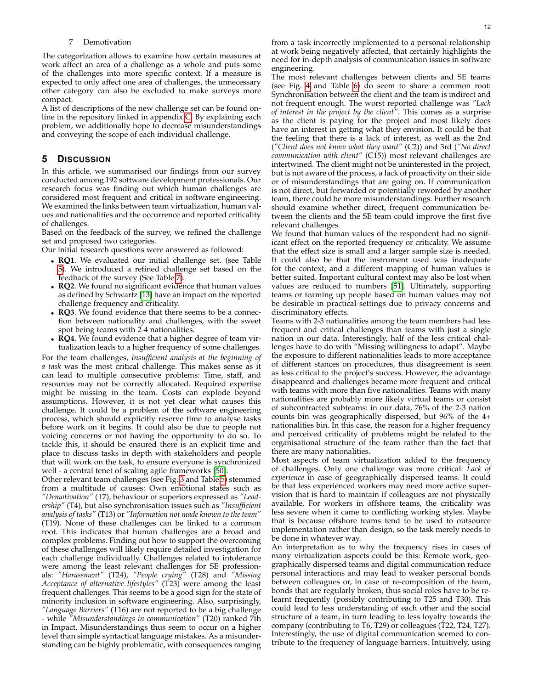The categorization allows to examine how certain measures at work affect an area of a challenge as a whole and puts some of the challenges into more specific context. If a measure is expected to only affect one area of challenges, the unnecessary other category can also be excluded to make surveys more compact.

A list of descriptions of the new challenge set can be found online in the repository linked in appendix [C.](#page-17-0) By explaining each problem, we additionally hope to decrease misunderstandings and conveying the scope of each individual challenge.

## <span id="page-11-0"></span>**5 DISCUSSION**

In this article, we summarised our findings from our survey conducted among 192 software development professionals. Our research focus was finding out which human challenges are considered most frequent and critical in software engineering. We examined the links between team virtualization, human values and nationalities and the occurrence and reported criticality of challenges.

Based on the feedback of the survey, we refined the challenge set and proposed two categories.

Our initial research questions were answered as followed:

- **RQ1**. We evaluated our initial challenge set. (see Table [5\)](#page-7-0). We introduced a refined challenge set based on the feedback of the survey (See Table [7\)](#page-10-0).
- **RQ2**. We found no significant evidence that human values as defined by Schwartz [\[13\]](#page-13-12) have an impact on the reported challenge frequency and criticality.
- **RQ3**. We found evidence that there seems to be a connection between nationality and challenges, with the sweet spot being teams with 2-4 nationalities.
- **RQ4**. We found evidence that a higher degree of team virtualization leads to a higher frequency of some challenges.

For the team challenges, *Insufficient analysis at the beginning of a task* was the most critical challenge. This makes sense as it can lead to multiple consecutive problems: Time, staff, and resources may not be correctly allocated. Required expertise might be missing in the team. Costs can explode beyond assumptions. However, it is not yet clear what causes this challenge. It could be a problem of the software engineering process, which should explicitly reserve time to analyse tasks before work on it begins. It could also be due to people not voicing concerns or not having the opportunity to do so. To tackle this, it should be ensured there is an explicit time and place to discuss tasks in depth with stakeholders and people that will work on the task, to ensure everyone is synchronized well - a central tenet of scaling agile frameworks [\[50\]](#page-14-7).

Other relevant team challenges (see Fig. [3](#page-7-1) and Table [5\)](#page-7-0) stemmed from a multitude of causes: Own emotional states such as *"Demotivation"* (T7), behaviour of superiors expressed as *"Leadership"* (T4), but also synchronisation issues such as *"Insufficient analysis of tasks"* (T13) or *"Information not made known to the team"* (T19). None of these challenges can be linked to a common root. This indicates that human challenges are a broad and complex problems. Finding out how to support the overcoming of these challenges will likely require detailed investigation for each challenge individually. Challenges related to intolerance were among the least relevant challenges for SE professionals: *"Harassment"* (T24), *"People crying"* (T28) and *"Missing Acceptance of alternative lifestyles"* (T23) were among the least frequent challenges. This seems to be a good sign for the state of minority inclusion in software engineering. Also, surprisingly, *"Language Barriers"* (T16) are not reported to be a big challenge

- while *"Misunderstandings in communication"* (T20) ranked 7th in Impact. Misunderstandings thus seem to occur on a higher level than simple syntactical language mistakes. As a misunderstanding can be highly problematic, with consequences ranging

from a task incorrectly implemented to a personal relationship at work being negatively affected, that certainly highlights the need for in-depth analysis of communication issues in software engineering.

The most relevant challenges between clients and SE teams (see Fig. [4](#page-8-2) and Table [6\)](#page-8-0) do seem to share a common root: Synchronisation between the client and the team is indirect and not frequent enough. The worst reported challenge was *"Lack of interest in the project by the client"*. This comes as a surprise as the client is paying for the project and most likely does have an interest in getting what they envision. It could be that the feeling that there is a lack of interest, as well as the 2nd (*"Client does not know what they want"* (C2)) and 3rd (*"No direct communication with client"* (C15)) most relevant challenges are intertwined. The client might not be uninterested in the project, but is not aware of the process, a lack of proactivity on their side or of misunderstandings that are going on. If communication is not direct, but forwarded or potentially reworded by another team, there could be more misunderstandings. Further research should examine whether direct, frequent communication between the clients and the SE team could improve the first five relevant challenges.

We found that human values of the respondent had no significant effect on the reported frequency or criticality. We assume that the effect size is small and a larger sample size is needed. It could also be that the instrument used was inadequate for the context, and a different mapping of human values is better suited. Important cultural context may also be lost when values are reduced to numbers [\[51\]](#page-14-8). Ultimately, supporting teams or teaming up people based on human values may not be desirable in practical settings due to privacy concerns and discriminatory effects.

Teams with 2-3 nationalities among the team members had less frequent and critical challenges than teams with just a single nation in our data. Interestingly, half of the less critical challenges have to do with "Missing willingness to adapt". Maybe the exposure to different nationalities leads to more acceptance of different stances on procedures, thus disagreement is seen as less critical to the project's success. However, the advantage disappeared and challenges became more frequent and critical with teams with more than five nationalities. Teams with many nationalities are probably more likely virtual teams or consist of subcontracted subteams: in our data, 76% of the 2-3 nation counts bin was geographically dispersed, but 96% of the 4+ nationalities bin. In this case, the reason for a higher frequency and perceived criticality of problems might be related to the organisational structure of the team rather than the fact that there are many nationalities.

Most aspects of team virtualization added to the frequency of challenges. Only one challenge was more critical: *Lack of experience* in case of geographically dispersed teams. It could be that less experienced workers may need more active supervision that is hard to maintain if colleagues are not physically available. For workers in offshore teams, the criticality was less severe when it came to conflicting working styles. Maybe that is because offshore teams tend to be used to outsource implementation rather than design, so the task merely needs to be done in whatever way.

An interpretation as to why the frequency rises in cases of many virtualization aspects could be this: Remote work, geographically dispersed teams and digital communication reduce personal interactions and may lead to weaker personal bonds between colleagues or, in case of re-composition of the team, bonds that are regularly broken, thus social roles have to be relearnt frequently (possibly contributing to T25 and T30). This could lead to less understanding of each other and the social structure of a team, in turn leading to less loyalty towards the company (contributing to T6, T29) or colleagues (T22, T24, T27). Interestingly, the use of digital communication seemed to contribute to the frequency of language barriers. Intuitively, using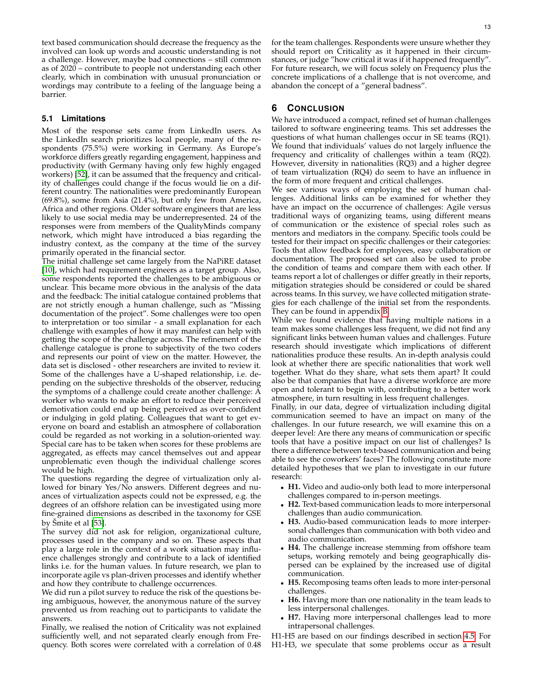text based communication should decrease the frequency as the involved can look up words and acoustic understanding is not a challenge. However, maybe bad connections – still common as of 2020 – contribute to people not understanding each other clearly, which in combination with unusual pronunciation or wordings may contribute to a feeling of the language being a barrier.

### **5.1 Limitations**

Most of the response sets came from LinkedIn users. As the LinkedIn search prioritizes local people, many of the respondents (75.5%) were working in Germany. As Europe's workforce differs greatly regarding engagement, happiness and productivity (with Germany having only few highly engaged workers) [\[52\]](#page-14-9), it can be assumed that the frequency and criticality of challenges could change if the focus would lie on a different country. The nationalities were predominantly European (69.8%), some from Asia (21.4%), but only few from America, Africa and other regions. Older software engineers that are less likely to use social media may be underrepresented. 24 of the responses were from members of the QualityMinds company network, which might have introduced a bias regarding the industry context, as the company at the time of the survey primarily operated in the financial sector.

The initial challenge set came largely from the NaPiRE dataset [\[10\]](#page-13-9), which had requirement engineers as a target group. Also, some respondents reported the challenges to be ambiguous or unclear. This became more obvious in the analysis of the data and the feedback: The initial catalogue contained problems that are not strictly enough a human challenge, such as "Missing documentation of the project". Some challenges were too open to interpretation or too similar - a small explanation for each challenge with examples of how it may manifest can help with getting the scope of the challenge across. The refinement of the challenge catalogue is prone to subjectivity of the two coders and represents our point of view on the matter. However, the data set is disclosed - other researchers are invited to review it. Some of the challenges have a U-shaped relationship, i.e. depending on the subjective thresholds of the observer, reducing the symptoms of a challenge could create another challenge: A worker who wants to make an effort to reduce their perceived demotivation could end up being perceived as over-confident or indulging in gold plating. Colleagues that want to get everyone on board and establish an atmosphere of collaboration could be regarded as not working in a solution-oriented way. Special care has to be taken when scores for these problems are aggregated, as effects may cancel themselves out and appear unproblematic even though the individual challenge scores would be high.

The questions regarding the degree of virtualization only allowed for binary Yes/No answers. Different degrees and nuances of virtualization aspects could not be expressed, e.g. the degrees of an offshore relation can be investigated using more fine-grained dimensions as described in the taxonomy for GSE by Smite et al  $[53]$ .

The survey did not ask for religion, organizational culture, processes used in the company and so on. These aspects that play a large role in the context of a work situation may influence challenges strongly and contribute to a lack of identified links i.e. for the human values. In future research, we plan to incorporate agile vs plan-driven processes and identify whether and how they contribute to challenge occurrences.

We did run a pilot survey to reduce the risk of the questions being ambiguous, however, the anonymous nature of the survey prevented us from reaching out to participants to validate the answers.

Finally, we realised the notion of Criticality was not explained sufficiently well, and not separated clearly enough from Frequency. Both scores were correlated with a correlation of 0.48 for the team challenges. Respondents were unsure whether they should report on Criticality as it happened in their circumstances, or judge "how critical it was if it happened frequently". For future research, we will focus solely on Frequency plus the concrete implications of a challenge that is not overcome, and abandon the concept of a "general badness".

## **6 CONCLUSION**

We have introduced a compact, refined set of human challenges tailored to software engineering teams. This set addresses the questions of what human challenges occur in SE teams (RQ1). We found that individuals' values do not largely influence the frequency and criticality of challenges within a team (RQ2). However, diversity in nationalities (RQ3) and a higher degree of team virtualization (RQ4) do seem to have an influence in the form of more frequent and critical challenges.

We see various ways of employing the set of human challenges. Additional links can be examined for whether they have an impact on the occurrence of challenges: Agile versus traditional ways of organizing teams, using different means of communication or the existence of special roles such as mentors and mediators in the company. Specific tools could be tested for their impact on specific challenges or their categories: Tools that allow feedback for employees, easy collaboration or documentation. The proposed set can also be used to probe the condition of teams and compare them with each other. If teams report a lot of challenges or differ greatly in their reports, mitigation strategies should be considered or could be shared across teams. In this survey, we have collected mitigation strategies for each challenge of the initial set from the respondents. They can be found in appendix [B.](#page-15-0)

While we found evidence that having multiple nations in a team makes some challenges less frequent, we did not find any significant links between human values and challenges. Future research should investigate which implications of different nationalities produce these results. An in-depth analysis could look at whether there are specific nationalities that work well together. What do they share, what sets them apart? It could also be that companies that have a diverse workforce are more open and tolerant to begin with, contributing to a better work atmosphere, in turn resulting in less frequent challenges.

Finally, in our data, degree of virtualization including digital communication seemed to have an impact on many of the challenges. In our future research, we will examine this on a deeper level: Are there any means of communication or specific tools that have a positive impact on our list of challenges? Is there a difference between text-based communication and being able to see the coworkers' faces? The following constitute more detailed hypotheses that we plan to investigate in our future research:

- **H1.** Video and audio-only both lead to more interpersonal challenges compared to in-person meetings.
- **H2.** Text-based communication leads to more interpersonal challenges than audio communication.
- **H3.** Audio-based communication leads to more interpersonal challenges than communication with both video and audio communication.
- **H4.** The challenge increase stemming from offshore team setups, working remotely and being geographically dispersed can be explained by the increased use of digital communication.
- **H5.** Recomposing teams often leads to more inter-personal challenges.
- **H6.** Having more than one nationality in the team leads to less interpersonal challenges.
- **H7.** Having more interpersonal challenges lead to more intrapersonal challenges.
- H1-H5 are based on our findings described in section [4.5.](#page-9-1) For
- H1-H3, we speculate that some problems occur as a result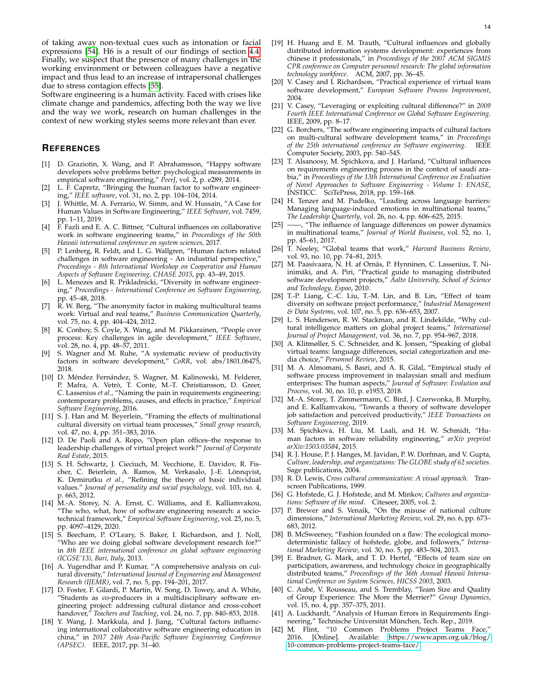of taking away non-textual cues such as intonation or facial expressions [\[54\]](#page-14-11). H6 is a result of our findings of section [4.4.](#page-8-3) Finally, we suspect that the presence of many challenges in the working environment or between colleagues have a negative impact and thus lead to an increase of intrapersonal challenges due to stress contagion effects [\[55\]](#page-14-12).

Software engineering is a human activity. Faced with crises like climate change and pandemics, affecting both the way we live and the way we work, research on human challenges in the context of new working styles seems more relevant than ever.

## **REFERENCES**

- <span id="page-13-0"></span>[1] D. Graziotin, X. Wang, and P. Abrahamsson, "Happy software developers solve problems better: psychological measurements in empirical software engineering," *PeerJ*, vol. 2, p. e289, 2014.
- <span id="page-13-1"></span>L. F. Capretz, "Bringing the human factor to software engineering," *IEEE software*, vol. 31, no. 2, pp. 104–104, 2014.
- <span id="page-13-2"></span>[3] J. Whittle, M. A. Ferrario, W. Simm, and W. Hussain, "A Case for Human Values in Software Engineering," *IEEE Software*, vol. 7459, pp. 1–11, 2019.
- <span id="page-13-3"></span>[4] F. Fazli and E. A. C. Bittner, "Cultural influences on collaborative work in software engineering teams," in *Proceedings of the 50th Hawaii international conference on system sciences*, 2017.
- <span id="page-13-4"></span>[5] P. Lenberg, R. Feldt, and L. G. Wallgren, "Human factors related challenges in software engineering - An industrial perspective," *Proceedings - 8th International Workshop on Cooperative and Human Aspects of Software Engineering, CHASE 2015*, pp. 43–49, 2015.
- <span id="page-13-5"></span>L. Menezes and R. Prikladnicki, "Diversity in software engineering," *Proceedings - International Conference on Software Engineering*, pp. 45–48, 2018.
- <span id="page-13-6"></span>[7] R. W. Berg, "The anonymity factor in making multicultural teams work: Virtual and real teams," *Business Communication Quarterly*, vol. 75, no. 4, pp. 404–424, 2012.
- <span id="page-13-7"></span>[8] K. Conboy, S. Coyle, X. Wang, and M. Pikkarainen, "People over process: Key challenges in agile development," *IEEE Software*, vol. 28, no. 4, pp. 48–57, 2011.
- <span id="page-13-8"></span>S. Wagner and M. Ruhe, "A systematic review of productivity factors in software development," *CoRR*, vol. abs/1801.06475, 2018.
- <span id="page-13-9"></span>[10] D. Méndez Fernández, S. Wagner, M. Kalinowski, M. Felderer, P. Mafra, A. Vetrò, T. Conte, M.-T. Christiansson, D. Greer, C. Lassenius *et al.*, "Naming the pain in requirements engineering: contemporary problems, causes, and effects in practice," *Empirical Software Engineering*, 2016.
- <span id="page-13-10"></span>[11] S. J. Han and M. Beyerlein, "Framing the effects of multinational cultural diversity on virtual team processes," *Small group research*, vol. 47, no. 4, pp. 351–383, 2016.
- <span id="page-13-11"></span>[12] D. De Paoli and A. Ropo, "Open plan offices–the response to leadership challenges of virtual project work?" *Journal of Corporate Real Estate*, 2015.
- <span id="page-13-12"></span>[13] S. H. Schwartz, J. Cieciuch, M. Vecchione, E. Davidov, R. Fischer, C. Beierlein, A. Ramos, M. Verkasalo, J.-E. Lönnqvist, K. Demirutku *et al.*, "Refining the theory of basic individual values." *Journal of personality and social psychology*, vol. 103, no. 4, p. 663, 2012.
- <span id="page-13-13"></span>[14] M.-A. Storey, N. A. Ernst, C. Williams, and E. Kalliamvakou, "The who, what, how of software engineering research: a sociotechnical framework," *Empirical Software Engineering*, vol. 25, no. 5, pp. 4097–4129, 2020.
- <span id="page-13-14"></span>[15] S. Beecham, P. O'Leary, S. Baker, I. Richardson, and J. Noll, "Who are we doing global software development research for?" in *8th IEEE international conference on global software engineering (ICGSE'13), Bari, Italy*, 2013.
- <span id="page-13-15"></span>[16] A. Yugendhar and P. Kumar, "A comprehensive analysis on cultural diversity," *International Journal of Engineering and Management Research (IJEMR)*, vol. 7, no. 5, pp. 194–201, 2017.
- <span id="page-13-16"></span>[17] D. Foster, F. Gilardi, P. Martin, W. Song, D. Towey, and A. White, "Students as co-producers in a multidisciplinary software engineering project: addressing cultural distance and cross-cohort handover," *Teachers and Teaching*, vol. 24, no. 7, pp. 840–853, 2018.
- <span id="page-13-17"></span>[18] Y. Wang, J. Markkula, and J. Jiang, "Cultural factors influencing international collaborative software engineering education in china," in *2017 24th Asia-Pacific Software Engineering Conference (APSEC)*. IEEE, 2017, pp. 31–40.
- <span id="page-13-18"></span>[19] H. Huang and E. M. Trauth, "Cultural influences and globally distributed information systems development: experiences from chinese it professionals," in *Proceedings of the 2007 ACM SIGMIS CPR conference on Computer personnel research: The global information technology workforce*. ACM, 2007, pp. 36–45.
- <span id="page-13-19"></span>[20] V. Casey and I. Richardson, "Practical experience of virtual team software development," *European Software Process Improvement*, 2004.
- <span id="page-13-20"></span>[21] V. Casey, "Leveraging or exploiting cultural difference?" in *2009 Fourth IEEE International Conference on Global Software Engineering*. IEEE, 2009, pp. 8–17.
- <span id="page-13-21"></span>[22] G. Borchers, "The software engineering impacts of cultural factors on multi-cultural software development teams," in *Proceedings of the 25th international conference on Software engineering*. IEEE Computer Society, 2003, pp. 540–545.
- <span id="page-13-22"></span>[23] T. Alsanoosy, M. Spichkova, and J. Harland, "Cultural influences on requirements engineering process in the context of saudi arabia," in *Proceedings of the 13th International Conference on Evaluation of Novel Approaches to Software Engineering - Volume 1: ENASE*, INSTICC. SciTePress, 2018, pp. 159–168.
- <span id="page-13-23"></span>[24] H. Tenzer and M. Pudelko, "Leading across language barriers: Managing language-induced emotions in multinational teams," *The Leadership Quarterly*, vol. 26, no. 4, pp. 606–625, 2015.
- <span id="page-13-24"></span>[25] -, "The influence of language differences on power dynamics in multinational teams," *Journal of World Business*, vol. 52, no. 1, pp. 45–61, 2017.
- <span id="page-13-25"></span>[26] T. Neeley, "Global teams that work," *Harvard Business Review*, vol. 93, no. 10, pp. 74–81, 2015.
- <span id="page-13-26"></span>[27] M. Paasivaara, N. H. af Ornäs, P. Hynninen, C. Lassenius, T. Niinimäki, and A. Piri, "Practical guide to managing distributed software development projects," *Aalto University, School of Science and Technology, Espoo*, 2010.
- <span id="page-13-27"></span>[28] T.-P. Liang, C.-C. Liu, T.-M. Lin, and B. Lin, "Effect of team diversity on software project performance," *Industrial Management & Data Systems*, vol. 107, no. 5, pp. 636–653, 2007.
- <span id="page-13-28"></span>[29] L. S. Henderson, R. W. Stackman, and R. Lindekilde, "Why cultural intelligence matters on global project teams," *International Journal of Project Management*, vol. 36, no. 7, pp. 954–967, 2018.
- <span id="page-13-29"></span>[30] A. Klitmøller, S. C. Schneider, and K. Jonsen, "Speaking of global virtual teams: language differences, social categorization and media choice," *Personnel Review*, 2015.
- <span id="page-13-30"></span>[31] M. A. Almomani, S. Basri, and A. R. Gilal, "Empirical study of software process improvement in malaysian small and medium enterprises: The human aspects," *Journal of Software: Evolution and Process*, vol. 30, no. 10, p. e1953, 2018.
- <span id="page-13-31"></span>[32] M.-A. Storey, T. Zimmermann, C. Bird, J. Czerwonka, B. Murphy, and E. Kalliamvakou, "Towards a theory of software developer job satisfaction and perceived productivity," *IEEE Transactions on Software Engineering*, 2019.
- <span id="page-13-32"></span>[33] M. Spichkova, H. Liu, M. Laali, and H. W. Schmidt, "Human factors in software reliability engineering," *arXiv preprint arXiv:1503.03584*, 2015.
- <span id="page-13-33"></span>[34] R. J. House, P. J. Hanges, M. Javidan, P. W. Dorfman, and V. Gupta, *Culture, leadership, and organizations: The GLOBE study of 62 societies*. Sage publications, 2004.
- <span id="page-13-34"></span>[35] R. D. Lewis, *Cross cultural communication: A visual approach*. Transcreen Publications, 1999.
- <span id="page-13-35"></span>[36] G. Hofstede, G. J. Hofstede, and M. Minkov, *Cultures and organizations: Software of the mind*. Citeseer, 2005, vol. 2.
- <span id="page-13-36"></span>[37] P. Brewer and S. Venaik, "On the misuse of national culture dimensions," *International Marketing Review*, vol. 29, no. 6, pp. 673– 683, 2012.
- <span id="page-13-37"></span>[38] B. McSweeney, "Fashion founded on a flaw: The ecological monodeterministic fallacy of hofstede, globe, and followers," *International Marketing Review*, vol. 30, no. 5, pp. 483–504, 2013.
- <span id="page-13-38"></span>[39] E. Bradner, G. Mark, and T. D. Hertel, "Effects of team size on participation, awareness, and technology choice in geographically distributed teams," *Proceedings of the 36th Annual Hawaii International Conference on System Sciences, HICSS 2003*, 2003.
- <span id="page-13-39"></span>[40] C. Aubé, V. Rousseau, and S. Tremblay, "Team Size and Quality of Group Experience: The More the Merrier?" *Group Dynamics*, vol. 15, no. 4, pp. 357–375, 2011.
- <span id="page-13-40"></span>[41] A. Luckhardt, "Analysis of Human Errors in Requirements Engineering," Technische Universität München, Tech. Rep., 2019.
- <span id="page-13-41"></span>[42] M. Flint, "10 Common Problems Project Teams Face," 2016. [Online]. Available: [https://www.apm.org.uk/blog/](https://www.apm.org.uk/blog/10-common-problems-project-teams-face/) [10-common-problems-project-teams-face/](https://www.apm.org.uk/blog/10-common-problems-project-teams-face/)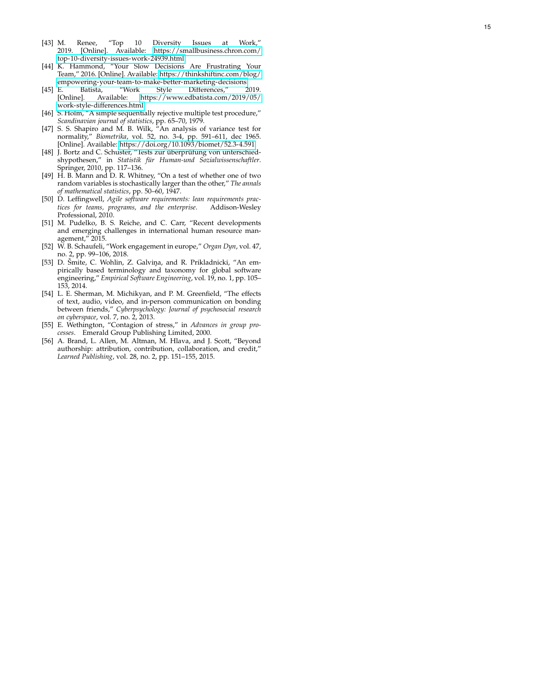- <span id="page-14-0"></span>[43] M. Renee, "Top 10 Diversity Issues at Work," https://smallbusiness.chron.com/ [top-10-diversity-issues-work-24939.html](https://smallbusiness.chron.com/top-10-diversity-issues-work-24939.html)
- <span id="page-14-1"></span>[44] K. Hammond, "Your Slow Decisions Are Frustrating Your Team," 2016. [Online]. Available: [https://thinkshiftinc.com/blog/](https://thinkshiftinc.com/blog/empowering-your-team-to-make-better-marketing-decisions) [empowering-your-team-to-make-better-marketing-decisions](https://thinkshiftinc.com/blog/empowering-your-team-to-make-better-marketing-decisions)<br>
[45] E. Batista, "Work Style Differences," 2019.
- <span id="page-14-2"></span>E. Batista, "Work Style Differences,"<br>[Online]. Available: https://www.edbatista.com, https://www.edbatista.com/2019/05/ [work-style-differences.html](https://www.edbatista.com/2019/05/work-style-differences.html)
- <span id="page-14-3"></span>[46] S. Holm, "A simple sequentially rejective multiple test procedure," *Scandinavian journal of statistics*, pp. 65–70, 1979.
- <span id="page-14-4"></span>[47] S. S. Shapiro and M. B. Wilk, "An analysis of variance test for normality," *Biometrika*, vol. 52, no. 3-4, pp. 591–611, dec 1965. [Online]. Available:<https://doi.org/10.1093/biomet/52.3-4.591>
- <span id="page-14-5"></span>[48] J. Bortz and C. Schuster, "Tests zur überprüfung von unterschiedshypothesen," in *Statistik für Human-und Sozialwissenschaftler*. Springer, 2010, pp. 117–136.
- <span id="page-14-6"></span>[49] H. B. Mann and D. R. Whitney, "On a test of whether one of two random variables is stochastically larger than the other," *The annals of mathematical statistics*, pp. 50–60, 1947.
- <span id="page-14-7"></span>[50] D. Leffingwell, *Agile software requirements: lean requirements prac*tices for teams, programs, and the enterprise. Professional, 2010.
- <span id="page-14-8"></span>[51] M. Pudelko, B. S. Reiche, and C. Carr, "Recent developments and emerging challenges in international human resource management," 2015.
- <span id="page-14-9"></span>[52] W. B. Schaufeli, "Work engagement in europe," *Organ Dyn*, vol. 47, no. 2, pp. 99–106, 2018.
- <span id="page-14-10"></span>[53] D. Šmite, C. Wohlin, Z. Galviņa, and R. Prikladnicki, "An empirically based terminology and taxonomy for global software engineering," *Empirical Software Engineering*, vol. 19, no. 1, pp. 105– 153, 2014.
- <span id="page-14-11"></span>[54] L. E. Sherman, M. Michikyan, and P. M. Greenfield, "The effects of text, audio, video, and in-person communication on bonding between friends," *Cyberpsychology: Journal of psychosocial research on cyberspace*, vol. 7, no. 2, 2013.
- <span id="page-14-12"></span>[55] E. Wethington, "Contagion of stress," in *Advances in group processes*. Emerald Group Publishing Limited, 2000.
- <span id="page-14-13"></span>[56] A. Brand, L. Allen, M. Altman, M. Hlava, and J. Scott, "Beyond authorship: attribution, contribution, collaboration, and credit," *Learned Publishing*, vol. 28, no. 2, pp. 151–155, 2015.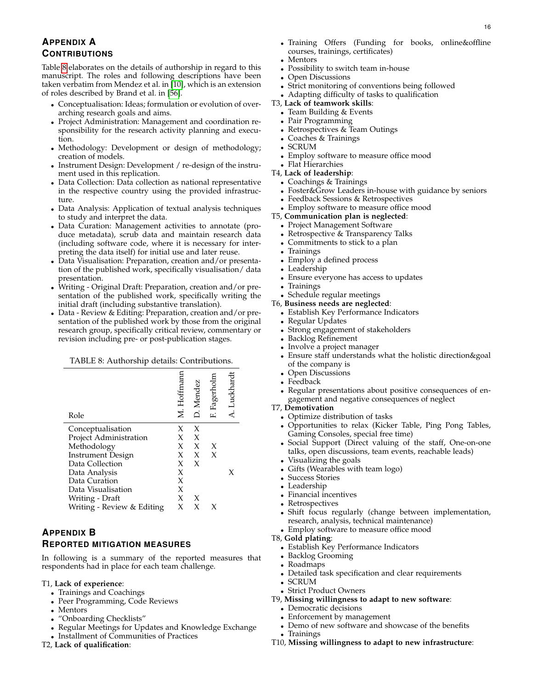# **APPENDIX A CONTRIBUTIONS**

Table [8](#page-15-1) elaborates on the details of authorship in regard to this manuscript. The roles and following descriptions have been taken verbatim from Mendez et al. in [\[10\]](#page-13-9), which is an extension of roles described by Brand et al. in [\[56\]](#page-14-13).

- Conceptualisation: Ideas; formulation or evolution of overarching research goals and aims.
- Project Administration: Management and coordination responsibility for the research activity planning and execution.
- Methodology: Development or design of methodology; creation of models.
- Instrument Design: Development / re-design of the instrument used in this replication.
- Data Collection: Data collection as national representative in the respective country using the provided infrastructure.
- Data Analysis: Application of textual analysis techniques to study and interpret the data.
- Data Curation: Management activities to annotate (produce metadata), scrub data and maintain research data (including software code, where it is necessary for interpreting the data itself) for initial use and later reuse.
- Data Visualisation: Preparation, creation and/or presentation of the published work, specifically visualisation/ data presentation.
- Writing Original Draft: Preparation, creation and/or presentation of the published work, specifically writing the initial draft (including substantive translation).
- Data Review & Editing: Preparation, creation and/or presentation of the published work by those from the original research group, specifically critical review, commentary or revision including pre- or post-publication stages.

#### <span id="page-15-1"></span>TABLE 8: Authorship details: Contributions.

| Role                       | M. Hoffmann | D. Mendez    | Fagerholn<br>ГĽ,    | A. Luckhard |
|----------------------------|-------------|--------------|---------------------|-------------|
| Conceptualisation          | X           | X            |                     |             |
| Project Administration     | X           | X            |                     |             |
| Methodology                |             | $X \times X$ | $\boldsymbol{\chi}$ |             |
| <b>Instrument Design</b>   |             | $X \times X$ | $\chi$              |             |
| Data Collection            | X           | X            |                     |             |
| Data Analysis              | X           |              |                     |             |
| Data Curation              | X           |              |                     |             |
| Data Visualisation         | X           |              |                     |             |
| Writing - Draft            | X           | X            |                     |             |
| Writing - Review & Editing | X           | X            |                     |             |

## <span id="page-15-0"></span>**APPENDIX B REPORTED MITIGATION MEASURES**

In following is a summary of the reported measures that respondents had in place for each team challenge.

#### T1, **Lack of experience**:

- Trainings and Coachings
- Peer Programming, Code Reviews
- Mentors
- "Onboarding Checklists"
- Regular Meetings for Updates and Knowledge Exchange
- Installment of Communities of Practices
- T2, **Lack of qualification**:
- Training Offers (Funding for books, online&offline courses, trainings, certificates)
- Mentors
- Possibility to switch team in-house
- Open Discussions
- Strict monitoring of conventions being followed
- Adapting difficulty of tasks to qualification

# T3, **Lack of teamwork skills**:

- Team Building & Events
- Pair Programming
- Retrospectives & Team Outings
- Coaches & Trainings
- SCRUM
- Employ software to measure office mood
- Flat Hierarchies
- T4, **Lack of leadership**:
	- Coachings & Trainings
	- Foster&Grow Leaders in-house with guidance by seniors
	- Feedback Sessions & Retrospectives
	- Employ software to measure office mood
- T5, **Communication plan is neglected**:
	- Project Management Software
	- Retrospective & Transparency Talks
	- Commitments to stick to a plan
	- **Trainings**
	- Employ a defined process
	- Leadership
	- Ensure everyone has access to updates
	- Trainings
	- Schedule regular meetings
- T6, **Business needs are neglected**:
	- Establish Key Performance Indicators
	- Regular Updates
	- Strong engagement of stakeholders
	- Backlog Refinement
	- Involve a project manager
	- Ensure staff understands what the holistic direction&goal of the company is
	- Open Discussions
	- Feedback
	- Regular presentations about positive consequences of engagement and negative consequences of neglect
- T7, **Demotivation**
	- Optimize distribution of tasks
	- Opportunities to relax (Kicker Table, Ping Pong Tables, Gaming Consoles, special free time)
	- Social Support (Direct valuing of the staff, One-on-one talks, open discussions, team events, reachable leads)
	- Visualizing the goals
	- Gifts (Wearables with team logo)
	- Success Stories
	- Leadership
	- Financial incentives
	- Retrospectives
	- Shift focus regularly (change between implementation, research, analysis, technical maintenance)
	- Employ software to measure office mood
- T8, **Gold plating**:
	- Establish Key Performance Indicators
	- Backlog Grooming
	- Roadmaps
	- Detailed task specification and clear requirements
	- SCRUM
	- Strict Product Owners
- T9, **Missing willingness to adapt to new software**:
	- Democratic decisions
	- Enforcement by management
	- Demo of new software and showcase of the benefits • Trainings
- 
- T10, **Missing willingness to adapt to new infrastructure**: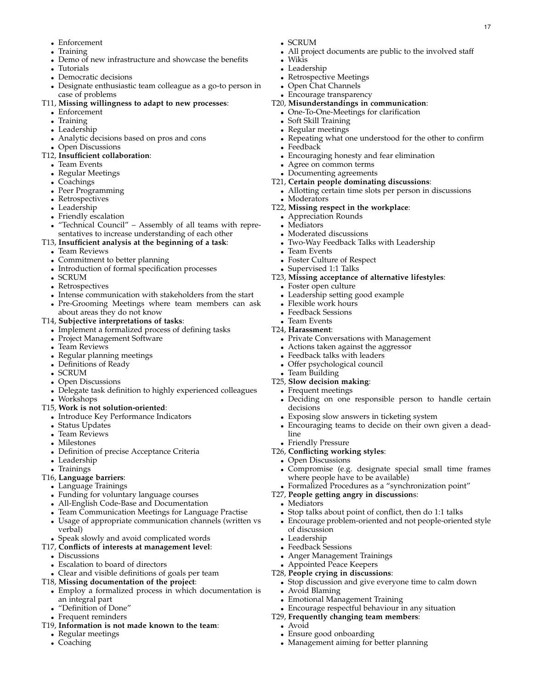- Enforcement
- Training
- Demo of new infrastructure and showcase the benefits
- Tutorials
- Democratic decisions
- Designate enthusiastic team colleague as a go-to person in case of problems
- T11, **Missing willingness to adapt to new processes**:
	- Enforcement
	- Training
	- Leadership
	- Analytic decisions based on pros and cons
	- Open Discussions

## T12, **Insufficient collaboration**:

- Team Events
- Regular Meetings
- Coachings
- Peer Programming
- Retrospectives
- Leadership
- Friendly escalation
- "Technical Council" Assembly of all teams with representatives to increase understanding of each other
- T13, **Insufficient analysis at the beginning of a task**:
	- Team Reviews
	- Commitment to better planning
	- Introduction of formal specification processes
	- SCRUM
	- Retrospectives
	- Intense communication with stakeholders from the start
	- Pre-Grooming Meetings where team members can ask about areas they do not know
- T14, **Subjective interpretations of tasks**:
	- Implement a formalized process of defining tasks
	- Project Management Software
	- Team Reviews
	- Regular planning meetings
	- Definitions of Ready
	- SCRUM
	- Open Discussions
	- Delegate task definition to highly experienced colleagues
	- Workshops

## T15, **Work is not solution-oriented**:

- Introduce Key Performance Indicators
- Status Updates
- Team Reviews
- Milestones
- Definition of precise Acceptance Criteria
- Leadership
- Trainings

## T16, **Language barriers**:

- Language Trainings
- Funding for voluntary language courses
- All-English Code-Base and Documentation
- Team Communication Meetings for Language Practise
- Usage of appropriate communication channels (written vs verbal)
- Speak slowly and avoid complicated words
- T17, **Conflicts of interests at management level**:
	- Discussions
	- Escalation to board of directors
	- Clear and visible definitions of goals per team
- T18, **Missing documentation of the project**:
	- Employ a formalized process in which documentation is an integral part
	- "Definition of Done"
	- Frequent reminders
- T19, **Information is not made known to the team**:
	- Regular meetings
	- Coaching
- SCRUM
- All project documents are public to the involved staff

17

- Wikis
- Leadership
- Retrospective Meetings
- Open Chat Channels
- Encourage transparency
- T20, **Misunderstandings in communication**:
	- One-To-One-Meetings for clarification
	- Soft Skill Training • Regular meetings
	- Repeating what one understood for the other to confirm
	- Feedback
	- Encouraging honesty and fear elimination
	- Agree on common terms
- Documenting agreements
- T21, **Certain people dominating discussions**:
	- Allotting certain time slots per person in discussions
- Moderators
- T22, **Missing respect in the workplace**:
	- Appreciation Rounds
	- Mediators
	- Moderated discussions
	- Two-Way Feedback Talks with Leadership
	- Team Events
	- Foster Culture of Respect
	- Supervised 1:1 Talks
- T23, **Missing acceptance of alternative lifestyles**:
	- Foster open culture
	- Leadership setting good example
	- Flexible work hours
	- Feedback Sessions
- Team Events
- T24, **Harassment**:

• Team Building T25, **Slow decision making**: • Frequent meetings

• Friendly Pressure T26, **Conflicting working styles**: • Open Discussions

decisions

• Mediators

of discussion • Leadership • Feedback Sessions

• Avoid Blaming

• Avoid

line

• Private Conversations with Management

• Exposing slow answers in ticketing system

where people have to be available)

T27, **People getting angry in discussion**s:

• Anger Management Trainings • Appointed Peace Keepers T28, **People crying in discussions**:

• Emotional Management Training

• Ensure good onboarding

T29, **Frequently changing team members**:

• Management aiming for better planning

• Deciding on one responsible person to handle certain

• Encouraging teams to decide on their own given a dead-

• Compromise (e.g. designate special small time frames

• Formalized Procedures as a "synchronization point"

• Stop discussion and give everyone time to calm down

• Encourage respectful behaviour in any situation

• Stop talks about point of conflict, then do 1:1 talks • Encourage problem-oriented and not people-oriented style

• Actions taken against the aggressor • Feedback talks with leaders

• Offer psychological council